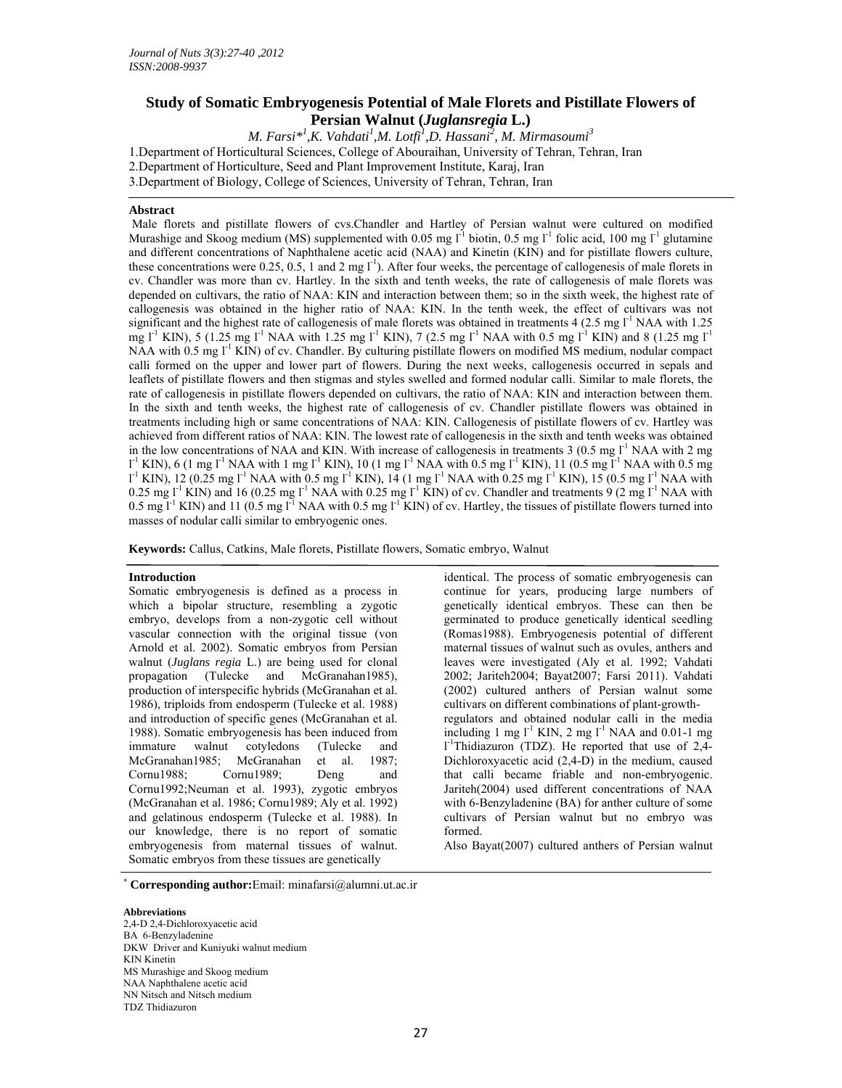# **Study of Somatic Embryogenesis Potential of Male Florets and Pistillate Flowers of Persian Walnut (***Juglansregia* **L.)**

*M. Farsi\*<sup>1</sup> ,K. Vahdati<sup>1</sup> ,M. Lotfi<sup>1</sup> ,D. Hassani<sup>2</sup> , M. Mirmasoumi<sup>3</sup>*

1.Department of Horticultural Sciences, College of Abouraihan, University of Tehran, Tehran, Iran

2.Department of Horticulture, Seed and Plant Improvement Institute, Karaj, Iran

3.Department of Biology, College of Sciences, University of Tehran, Tehran, Iran

# **Abstract**

 Male florets and pistillate flowers of cvs.Chandler and Hartley of Persian walnut were cultured on modified Murashige and Skoog medium (MS) supplemented with 0.05 mg  $I<sup>-1</sup>$  biotin, 0.5 mg  $I<sup>-1</sup>$  folic acid, 100 mg  $I<sup>-1</sup>$  glutamine and different concentrations of Naphthalene acetic acid (NAA) and Kinetin (KIN) and for pistillate flowers culture, these concentrations were  $0.25$ ,  $0.5$ , 1 and 2 mg l<sup>-1</sup>). After four weeks, the percentage of callogenesis of male florets in cv. Chandler was more than cv. Hartley. In the sixth and tenth weeks, the rate of callogenesis of male florets was depended on cultivars, the ratio of NAA: KIN and interaction between them; so in the sixth week, the highest rate of callogenesis was obtained in the higher ratio of NAA: KIN. In the tenth week, the effect of cultivars was not significant and the highest rate of callogenesis of male florets was obtained in treatments 4 (2.5 mg  $1^1$  NAA with 1.25 mg  $I<sup>-1</sup>$  KIN), 5 (1.25 mg  $I<sup>-1</sup>$  NAA with 1.25 mg  $I<sup>-1</sup>$  KIN), 7 (2.5 mg  $I<sup>-1</sup>$  NAA with 0.5 mg  $I<sup>-1</sup>$  KIN) and 8 (1.25 mg  $I<sup>-1</sup>$ NAA with 0.5 mg  $I<sup>-1</sup>$  KIN) of cv. Chandler. By culturing pistillate flowers on modified MS medium, nodular compact calli formed on the upper and lower part of flowers. During the next weeks, callogenesis occurred in sepals and leaflets of pistillate flowers and then stigmas and styles swelled and formed nodular calli. Similar to male florets, the rate of callogenesis in pistillate flowers depended on cultivars, the ratio of NAA: KIN and interaction between them. In the sixth and tenth weeks, the highest rate of callogenesis of cv. Chandler pistillate flowers was obtained in treatments including high or same concentrations of NAA: KIN. Callogenesis of pistillate flowers of cv. Hartley was achieved from different ratios of NAA: KIN. The lowest rate of callogenesis in the sixth and tenth weeks was obtained in the low concentrations of NAA and KIN. With increase of callogenesis in treatments  $3(0.5 \text{ mg } I^1$  NAA with 2 mg  $1<sup>-1</sup>$  KIN), 6 (1 mg l<sup>-1</sup> NAA with 1 mg l<sup>-1</sup> KIN), 10 (1 mg l<sup>-1</sup> NAA with 0.5 mg l<sup>-1</sup> KIN), 11 (0.5 mg l<sup>-1</sup> NAA with 0.5 mg  $1^{-1}$  KIN), 12 (0.25 mg l<sup>-1</sup> NAA with 0.5 mg l<sup>-1</sup> KIN), 14 (1 mg l<sup>-1</sup> NAA with 0.25 mg l<sup>-1</sup> KIN), 15 (0.5 mg l<sup>-1</sup> NAA with 0.25 mg  $1^1$  KIN) and 16 (0.25 mg  $1^1$  NAA with 0.25 mg  $1^1$  KIN) of cv. Chandler and treatments 9 (2 mg  $1^1$  NAA with 0.5 mg  $I<sup>-1</sup>$  KIN) and 11 (0.5 mg  $I<sup>-1</sup>$  NAA with 0.5 mg  $I<sup>-1</sup>$  KIN) of cv. Hartley, the tissues of pistillate flowers turned into masses of nodular calli similar to embryogenic ones.

**Keywords:** Callus, Catkins, Male florets, Pistillate flowers, Somatic embryo, Walnut

#### **Introduction**

Somatic embryogenesis is defined as a process in which a bipolar structure, resembling a zygotic embryo, develops from a non-zygotic cell without vascular connection with the original tissue (von Arnold et al. 2002). Somatic embryos from Persian walnut (*Juglans regia* L.) are being used for clonal propagation (Tulecke and McGranahan1985), production of interspecific hybrids (McGranahan et al. 1986), triploids from endosperm (Tulecke et al. 1988) and introduction of specific genes (McGranahan et al. 1988). Somatic embryogenesis has been induced from immature walnut cotyledons (Tulecke and McGranahan1985; McGranahan et al. 1987; Cornu1988; Cornu1989; Deng and Cornu1992;Neuman et al. 1993), zygotic embryos (McGranahan et al. 1986; Cornu1989; Aly et al. 1992) and gelatinous endosperm (Tulecke et al. 1988). In our knowledge, there is no report of somatic embryogenesis from maternal tissues of walnut. Somatic embryos from these tissues are genetically

continue for years, producing large numbers of genetically identical embryos. These can then be germinated to produce genetically identical seedling (Romas1988). Embryogenesis potential of different maternal tissues of walnut such as ovules, anthers and leaves were investigated (Aly et al. 1992; Vahdati 2002; Jariteh2004; Bayat2007; Farsi 2011). Vahdati (2002) cultured anthers of Persian walnut some cultivars on different combinations of plant-growthregulators and obtained nodular calli in the media including 1 mg  $l^{-1}$  KIN, 2 mg  $l^{-1}$  NAA and 0.01-1 mg l -1Thidiazuron (TDZ). He reported that use of 2,4- Dichloroxyacetic acid (2,4-D) in the medium, caused that calli became friable and non-embryogenic. Jariteh(2004) used different concentrations of NAA with 6-Benzyladenine (BA) for anther culture of some cultivars of Persian walnut but no embryo was formed.

identical. The process of somatic embryogenesis can

Also Bayat(2007) cultured anthers of Persian walnut

<sup>∗</sup> **Corresponding author:**Email: minafarsi@alumni.ut.ac.ir

#### **Abbreviations**

2,4-D 2,4-Dichloroxyacetic acid BA 6-Benzyladenine DKW Driver and Kuniyuki walnut medium KIN Kinetin MS Murashige and Skoog medium NAA Naphthalene acetic acid NN Nitsch and Nitsch medium TDZ Thidiazuron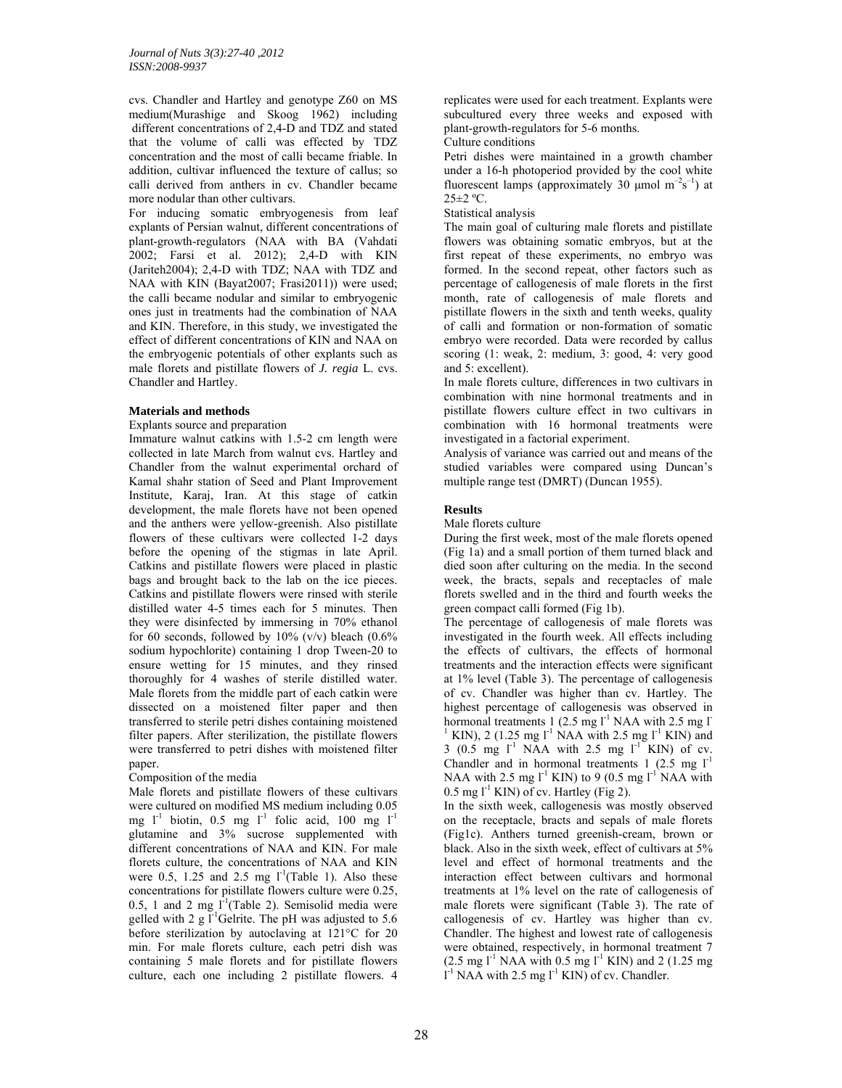cvs. Chandler and Hartley and genotype Z60 on MS medium(Murashige and Skoog 1962) including different concentrations of 2,4-D and TDZ and stated that the volume of calli was effected by TDZ concentration and the most of calli became friable. In addition, cultivar influenced the texture of callus; so calli derived from anthers in cv. Chandler became more nodular than other cultivars.

For inducing somatic embryogenesis from leaf explants of Persian walnut, different concentrations of plant-growth-regulators (NAA with BA (Vahdati 2002; Farsi et al. 2012); 2,4-D with KIN (Jariteh2004); 2,4-D with TDZ; NAA with TDZ and NAA with KIN (Bayat2007; Frasi2011)) were used; the calli became nodular and similar to embryogenic ones just in treatments had the combination of NAA and KIN. Therefore, in this study, we investigated the effect of different concentrations of KIN and NAA on the embryogenic potentials of other explants such as male florets and pistillate flowers of *J. regia* L. cvs. Chandler and Hartley.

### **Materials and methods**

Explants source and preparation

Immature walnut catkins with 1.5-2 cm length were collected in late March from walnut cvs. Hartley and Chandler from the walnut experimental orchard of Kamal shahr station of Seed and Plant Improvement Institute, Karaj, Iran. At this stage of catkin development, the male florets have not been opened and the anthers were yellow-greenish. Also pistillate flowers of these cultivars were collected 1-2 days before the opening of the stigmas in late April. Catkins and pistillate flowers were placed in plastic bags and brought back to the lab on the ice pieces. Catkins and pistillate flowers were rinsed with sterile distilled water 4-5 times each for 5 minutes. Then they were disinfected by immersing in 70% ethanol for 60 seconds, followed by  $10\%$  (v/v) bleach  $(0.6\%$ sodium hypochlorite) containing 1 drop Tween-20 to ensure wetting for 15 minutes, and they rinsed thoroughly for 4 washes of sterile distilled water. Male florets from the middle part of each catkin were dissected on a moistened filter paper and then transferred to sterile petri dishes containing moistened filter papers. After sterilization, the pistillate flowers were transferred to petri dishes with moistened filter paper.

### Composition of the media

Male florets and pistillate flowers of these cultivars were cultured on modified MS medium including 0.05 mg  $1^{-1}$  biotin, 0.5 mg  $1^{-1}$  folic acid, 100 mg  $1^{-1}$ glutamine and 3% sucrose supplemented with different concentrations of NAA and KIN. For male florets culture, the concentrations of NAA and KIN were 0.5, 1.25 and 2.5 mg  $I^1$ (Table 1). Also these concentrations for pistillate flowers culture were 0.25, 0.5, 1 and 2 mg  $I^{-1}$ (Table 2). Semisolid media were gelled with 2 g  $I^1$ Gelrite. The pH was adjusted to 5.6 before sterilization by autoclaving at 121°C for 20 min. For male florets culture, each petri dish was containing 5 male florets and for pistillate flowers culture, each one including 2 pistillate flowers. 4

replicates were used for each treatment. Explants were subcultured every three weeks and exposed with plant-growth-regulators for 5-6 months.

Culture conditions

Petri dishes were maintained in a growth chamber under a 16-h photoperiod provided by the cool white fluorescent lamps (approximately 30  $\mu$ mol m<sup>-2</sup>s<sup>-1</sup>) at 25±2 ºC.

Statistical analysis

The main goal of culturing male florets and pistillate flowers was obtaining somatic embryos, but at the first repeat of these experiments, no embryo was formed. In the second repeat, other factors such as percentage of callogenesis of male florets in the first month, rate of callogenesis of male florets and pistillate flowers in the sixth and tenth weeks, quality of calli and formation or non-formation of somatic embryo were recorded. Data were recorded by callus scoring (1: weak, 2: medium, 3: good, 4: very good and 5: excellent).

In male florets culture, differences in two cultivars in combination with nine hormonal treatments and in pistillate flowers culture effect in two cultivars in combination with 16 hormonal treatments were investigated in a factorial experiment.

Analysis of variance was carried out and means of the studied variables were compared using Duncan's multiple range test (DMRT) (Duncan 1955).

## **Results**

Male florets culture

During the first week, most of the male florets opened (Fig 1a) and a small portion of them turned black and died soon after culturing on the media. In the second week, the bracts, sepals and receptacles of male florets swelled and in the third and fourth weeks the green compact calli formed (Fig 1b).

The percentage of callogenesis of male florets was investigated in the fourth week. All effects including the effects of cultivars, the effects of hormonal treatments and the interaction effects were significant at 1% level (Table 3). The percentage of callogenesis of cv. Chandler was higher than cv. Hartley. The highest percentage of callogenesis was observed in hormonal treatments 1 (2.5 mg  $l^{-1}$  NAA with 2.5 mg  $l^{-1}$ 1 KIN), 2 (1.25 mg  $l^{-1}$  NAA with 2.5 mg  $l^{-1}$  KIN) and  $3$  (0.5 mg  $1^1$  NAA with 2.5 mg  $1^1$  KIN) of cv. Chandler and in hormonal treatments  $1$  (2.5 mg  $1^{-1}$ ) NAA with 2.5 mg  $l^{-1}$  KIN) to 9 (0.5 mg  $l^{-1}$  NAA with  $0.5$  mg  $l^{-1}$  KIN) of cv. Hartley (Fig 2).

In the sixth week, callogenesis was mostly observed on the receptacle, bracts and sepals of male florets (Fig1c). Anthers turned greenish-cream, brown or black. Also in the sixth week, effect of cultivars at 5% level and effect of hormonal treatments and the interaction effect between cultivars and hormonal treatments at 1% level on the rate of callogenesis of male florets were significant (Table 3). The rate of callogenesis of cv. Hartley was higher than cv. Chandler. The highest and lowest rate of callogenesis were obtained, respectively, in hormonal treatment 7  $(2.5 \text{ mg } l^{-1}$  NAA with 0.5 mg  $l^{-1}$  KIN) and 2 (1.25 mg  $l<sup>-1</sup>$  NAA with 2.5 mg  $l<sup>-1</sup>$  KIN) of cv. Chandler.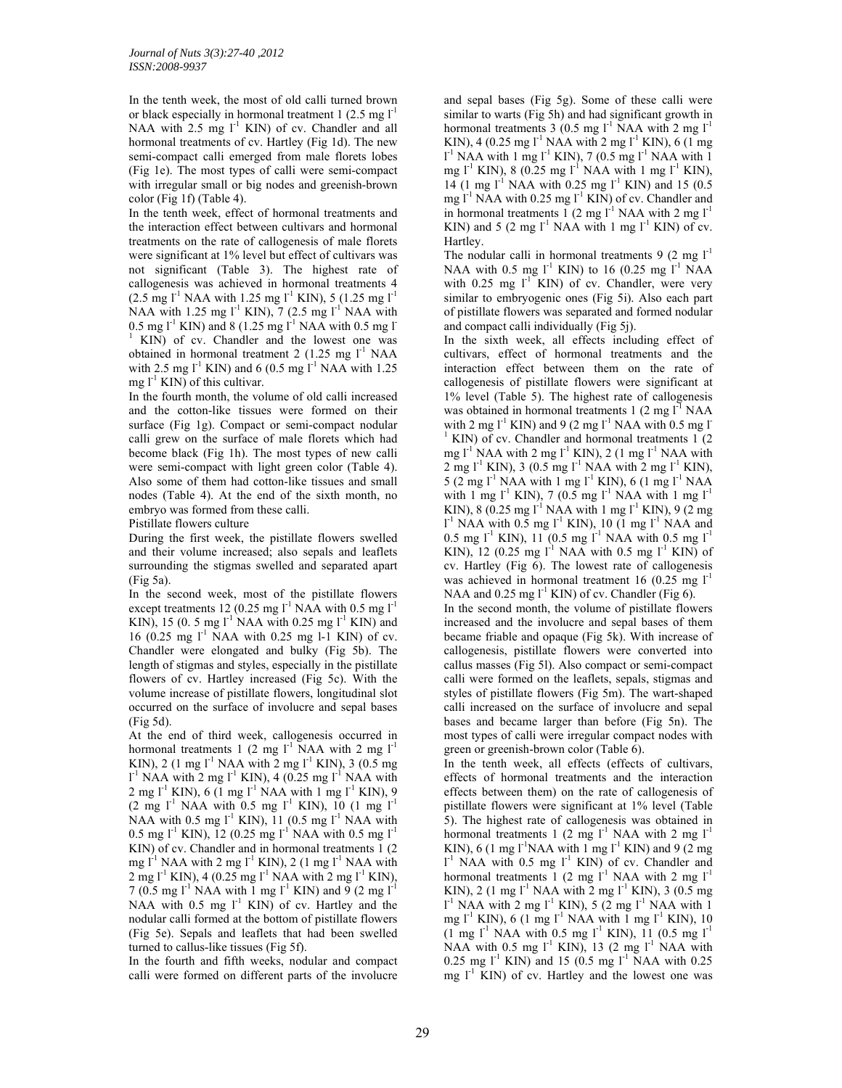In the tenth week, the most of old calli turned brown or black especially in hormonal treatment 1 (2.5 mg  $l^{-1}$ ) NAA with  $2.5$  mg  $l^{-1}$  KIN) of cv. Chandler and all hormonal treatments of cv. Hartley (Fig 1d). The new semi-compact calli emerged from male florets lobes (Fig 1e). The most types of calli were semi-compact with irregular small or big nodes and greenish-brown color (Fig 1f) (Table 4).

In the tenth week, effect of hormonal treatments and the interaction effect between cultivars and hormonal treatments on the rate of callogenesis of male florets were significant at 1% level but effect of cultivars was not significant (Table 3). The highest rate of callogenesis was achieved in hormonal treatments 4  $(2.5 \text{ mg l}^{-1} \text{ NAA with } 1.25 \text{ mg l}^{-1} \text{ KIN})$ , 5 (1.25 mg l<sup>-1</sup>) NAA with 1.25 mg  $1^1$  KIN), 7 (2.5 mg  $1^1$  NAA with 0.5 mg  $1^{-1}$  KIN) and 8 (1.25 mg  $1^{-1}$  NAA with 0.5 mg I

1 KIN) of cv. Chandler and the lowest one was obtained in hormonal treatment 2 (1.25 mg  $l^{-1}$  NAA with 2.5 mg  $l^{-1}$  KIN) and 6 (0.5 mg  $l^{-1}$  NAA with 1.25 mg  $l<sup>-1</sup>$  KIN) of this cultivar.

In the fourth month, the volume of old calli increased and the cotton-like tissues were formed on their surface (Fig 1g). Compact or semi-compact nodular calli grew on the surface of male florets which had become black (Fig 1h). The most types of new calli were semi-compact with light green color (Table 4). Also some of them had cotton-like tissues and small nodes (Table 4). At the end of the sixth month, no embryo was formed from these calli.

Pistillate flowers culture

During the first week, the pistillate flowers swelled and their volume increased; also sepals and leaflets surrounding the stigmas swelled and separated apart (Fig 5a).

In the second week, most of the pistillate flowers except treatments 12 (0.25 mg  $I<sup>-1</sup>$  NAA with 0.5 mg  $I<sup>-1</sup>$ KIN), 15 (0. 5 mg  $1^{-1}$  NAA with 0.25 mg  $1^{-1}$  KIN) and 16 (0.25 mg  $1^1$  NAA with 0.25 mg 1-1 KIN) of cv. Chandler were elongated and bulky (Fig 5b). The length of stigmas and styles, especially in the pistillate flowers of cv. Hartley increased (Fig 5c). With the volume increase of pistillate flowers, longitudinal slot occurred on the surface of involucre and sepal bases (Fig 5d).

At the end of third week, callogenesis occurred in hormonal treatments 1 (2 mg  $1^{-1}$  NAA with 2 mg  $1^{-1}$ KIN), 2 (1 mg  $l^{-1}$  NAA with 2 mg  $l^{-1}$  KIN), 3 (0.5 mg  $l<sup>-1</sup>$  NAA with 2 mg l<sup>-1</sup> KIN), 4 (0.25 mg l<sup>-1</sup> NAA with 2 mg  $1^{-1}$  KIN), 6 (1 mg  $1^{-1}$  NAA with 1 mg  $1^{-1}$  KIN), 9  $(2 \text{ mg } l^1 \text{ NAA with } 0.5 \text{ mg } l^1 \text{ KIN})$ , 10  $(1 \text{ mg } l^1$ NAA with 0.5 mg  $1^{-1}$  KIN), 11 (0.5 mg  $1^{-1}$  NAA with 0.5 mg  $l^{-1}$  KIN), 12 (0.25 mg  $l^{-1}$  NAA with 0.5 mg  $l^{-1}$ KIN) of cv. Chandler and in hormonal treatments 1 (2 mg  $1^{-1}$  NAA with 2 mg  $1^{-1}$  KIN), 2 (1 mg  $1^{-1}$  NAA with 2 mg  $1^{-1}$  KIN), 4 (0.25 mg  $1^{-1}$  NAA with 2 mg  $1^{-1}$  KIN), 7 (0.5 mg  $l^{-1}$  NAA with 1 mg  $l^{-1}$  KIN) and 9 (2 mg  $l^{-1}$ NAA with  $0.5$  mg  $l^{-1}$  KIN) of cv. Hartley and the nodular calli formed at the bottom of pistillate flowers (Fig 5e). Sepals and leaflets that had been swelled turned to callus-like tissues (Fig 5f).

In the fourth and fifth weeks, nodular and compact calli were formed on different parts of the involucre

and sepal bases (Fig 5g). Some of these calli were similar to warts (Fig 5h) and had significant growth in hormonal treatments 3 (0.5 mg  $l^{-1}$  NAA with 2 mg  $l^{-1}$ KIN), 4 (0.25 mg l<sup>-1</sup> NAA with 2 mg l<sup>-1</sup> KIN), 6 (1 mg  $1^1$  NAA with 1 mg  $1^1$  KIN), 7 (0.5 mg  $1^1$  NAA with 1 mg  $l^{-1}$  KIN), 8 (0.25 mg  $l^{-1}$  NAA with 1 mg  $l^{-1}$  KIN), 14 (1 mg  $l^{-1}$  NAA with 0.25 mg  $l^{-1}$  KIN) and 15 (0.5) mg  $l^{-1}$  NAA with 0.25 mg  $l^{-1}$  KIN) of cv. Chandler and in hormonal treatments 1 (2 mg  $1^{-1}$  NAA with 2 mg  $1^{-1}$ KIN) and 5 (2 mg  $l^{-1}$  NAA with 1 mg  $l^{-1}$  KIN) of cv. Hartley.

The nodular calli in hormonal treatments 9 (2 mg  $I<sup>-1</sup>$ NAA with 0.5 mg  $1^1$  KIN) to 16 (0.25 mg  $1^1$  NAA with 0.25 mg  $1^1$  KIN) of cv. Chandler, were very similar to embryogenic ones (Fig 5i). Also each part of pistillate flowers was separated and formed nodular and compact calli individually (Fig 5j).

In the sixth week, all effects including effect of cultivars, effect of hormonal treatments and the interaction effect between them on the rate of callogenesis of pistillate flowers were significant at 1% level (Table 5). The highest rate of callogenesis was obtained in hormonal treatments  $1 (2 \text{ mg l}^{-1} \text{ NAA})$ with 2 mg  $l^{-1}$  KIN) and 9 (2 mg  $l^{-1}$  NAA with 0.5 mg  $l^{-1}$  $1$  KIN) of cv. Chandler and hormonal treatments  $1(2)$ mg  $l^{-1}$  NAA with 2 mg  $l^{-1}$  KIN), 2 (1 mg  $l^{-1}$  NAA with 2 mg  $1^{-1}$  KIN), 3 (0.5 mg  $1^{-1}$  NAA with 2 mg  $1^{-1}$  KIN), 5 (2 mg l<sup>-1</sup> NAA with 1 mg l<sup>-1</sup> KIN), 6 (1 mg l<sup>-1</sup> NAA with 1 mg  $l^{-1}$  KIN), 7 (0.5 mg  $l^{-1}$  NAA with 1 mg  $l^{-1}$ KIN), 8 (0.25 mg l<sup>-1</sup> NAA with 1 mg l<sup>-1</sup> KIN), 9 (2 mg  $1^1$  NAA with 0.5 mg  $1^1$  KIN), 10 (1 mg  $1^1$  NAA and 0.5 mg  $l^{-1}$  KIN), 11 (0.5 mg  $l^{-1}$  NAA with 0.5 mg  $l^{-1}$ KIN), 12 (0.25 mg  $l^{-1}$  NAA with 0.5 mg  $l^{-1}$  KIN) of cv. Hartley (Fig 6). The lowest rate of callogenesis was achieved in hormonal treatment 16 (0.25 mg  $1^{-1}$ ) NAA and  $0.25$  mg  $l^{-1}$  KIN) of cv. Chandler (Fig 6).

In the second month, the volume of pistillate flowers increased and the involucre and sepal bases of them became friable and opaque (Fig 5k). With increase of callogenesis, pistillate flowers were converted into callus masses (Fig 5l). Also compact or semi-compact calli were formed on the leaflets, sepals, stigmas and styles of pistillate flowers (Fig 5m). The wart-shaped calli increased on the surface of involucre and sepal bases and became larger than before (Fig 5n). The most types of calli were irregular compact nodes with green or greenish-brown color (Table 6).

In the tenth week, all effects (effects of cultivars, effects of hormonal treatments and the interaction effects between them) on the rate of callogenesis of pistillate flowers were significant at 1% level (Table 5). The highest rate of callogenesis was obtained in hormonal treatments 1 (2 mg  $1^{-1}$  NAA with 2 mg  $1^{-1}$ KIN), 6 (1 mg l<sup>-1</sup>NAA with 1 mg l<sup>-1</sup> KIN) and 9 (2 mg  $1<sup>-1</sup>$  NAA with 0.5 mg  $1<sup>-1</sup>$  KIN) of cv. Chandler and hormonal treatments 1 (2 mg  $1^{-1}$  NAA with 2 mg  $1^{-1}$ KIN), 2 (1 mg  $1^{-1}$  NAA with 2 mg  $1^{-1}$  KIN), 3 (0.5 mg  $1^1$  NAA with 2 mg  $1^1$  KIN), 5 (2 mg  $1^1$  NAA with 1 mg  $l^{-1}$  KIN), 6 (1 mg  $l^{-1}$  NAA with 1 mg  $l^{-1}$  KIN), 10  $(1 \text{ mg } 1^1 \text{ NAA with } 0.5 \text{ mg } 1^1 \text{ KIN}), \, 11 \, (0.5 \text{ mg } 1^1$ NAA with 0.5 mg  $l^{-1}$  KIN), 13 (2 mg  $l^{-1}$  NAA with 0.25 mg  $l^{-1}$  KIN) and 15 (0.5 mg  $l^{-1}$  NAA with 0.25 mg  $1<sup>-1</sup>$  KIN) of cv. Hartley and the lowest one was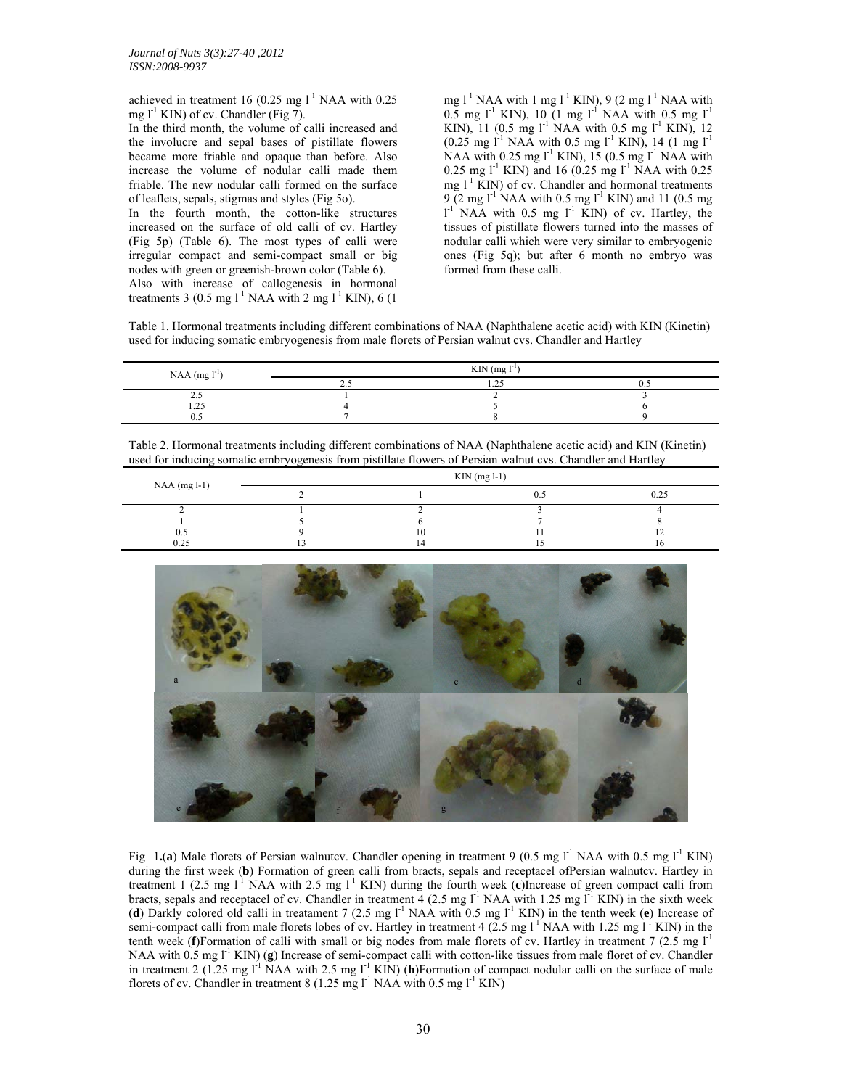achieved in treatment 16 (0.25 mg  $1<sup>-1</sup>$  NAA with 0.25 mg  $l^{-1}$  KIN) of cv. Chandler (Fig 7).

In the third month, the volume of calli increased and the involucre and sepal bases of pistillate flowers became more friable and opaque than before. Also increase the volume of nodular calli made them friable. The new nodular calli formed on the surface of leaflets, sepals, stigmas and styles (Fig 5o).

In the fourth month, the cotton-like structures increased on the surface of old calli of cv. Hartley (Fig 5p) (Table 6). The most types of calli were irregular compact and semi-compact small or big nodes with green or greenish-brown color (Table 6). Also with increase of callogenesis in hormonal

treatments 3 (0.5 mg  $l^{-1}$  NAA with 2 mg  $l^{-1}$  KIN), 6 (1)

mg  $l^{-1}$  NAA with 1 mg  $l^{-1}$  KIN), 9 (2 mg  $l^{-1}$  NAA with  $0.5$  mg l<sup>-1</sup> KIN), 10 (1 mg l<sup>-1</sup> NAA with 0.5 mg l<sup>-1</sup> KIN), 11 (0.5 mg  $l^{-1}$  NAA with 0.5 mg  $l^{-1}$  KIN), 12  $(0.25 \text{ mg } l^{\text{-1}}$  NAA with 0.5 mg  $l^{\text{-1}}$  KIN), 14 (1 mg  $l^{\text{-1}}$ NAA with 0.25 mg  $l^{-1}$  KIN), 15 (0.5 mg  $l^{-1}$  NAA with 0.25 mg  $l^{-1}$  KIN) and 16 (0.25 mg  $l^{-1}$  NAA with 0.25 mg  $l^{-1}$  KIN) of cv. Chandler and hormonal treatments 9 (2 mg l<sup>-1</sup> NAA with 0.5 mg l<sup>-1</sup> KIN) and 11 (0.5 mg  $1<sup>-1</sup>$  NAA with 0.5 mg  $1<sup>-1</sup>$  KIN) of cv. Hartley, the tissues of pistillate flowers turned into the masses of nodular calli which were very similar to embryogenic ones (Fig 5q); but after 6 month no embryo was formed from these calli.

Table 1. Hormonal treatments including different combinations of NAA (Naphthalene acetic acid) with KIN (Kinetin) used for inducing somatic embryogenesis from male florets of Persian walnut cvs. Chandler and Hartley

| NAA $(mg l^{-1})$            |      | KIN (mg l<br>$\sim$ |     |
|------------------------------|------|---------------------|-----|
|                              | ن. ت | $\sim$<br>1.44      | v., |
| ن ک                          |      |                     |     |
| $\Delta$ $\epsilon$<br>رے. 1 |      |                     |     |
| $\mathbf{v}$ .               |      |                     |     |

| Table 2. Hormonal treatments including different combinations of NAA (Naphthalene acetic acid) and KIN (Kinetin) |
|------------------------------------------------------------------------------------------------------------------|
| used for inducing somatic embryogenesis from pistillate flowers of Persian walnut cvs. Chandler and Hartley      |

|                   | $KIN$ (mg $l-1$ ) |     |      |
|-------------------|-------------------|-----|------|
| $NAA$ (mg $l-1$ ) |                   | U.J | 0.25 |
|                   |                   |     |      |
|                   |                   |     |      |
| 0.3               | 1 U               |     |      |
| 0.25              |                   |     |      |



Fig 1.(a) Male florets of Persian walnutcy. Chandler opening in treatment 9 (0.5 mg  $I<sup>-1</sup>$  NAA with 0.5 mg  $I<sup>-1</sup>$  KIN) during the first week (**b**) Formation of green calli from bracts, sepals and receptacel ofPersian walnutcv. Hartley in treatment 1 (2.5 mg  $I<sup>-1</sup>$  NAA with 2.5 mg  $I<sup>-1</sup>$  KIN) during the fourth week (**c**)Increase of green compact calli from bracts, sepals and receptacel of cv. Chandler in treatment  $\frac{3}{4}$  (2.5 mg l<sup>-1</sup> NAA with 1.25 mg l<sup>-1</sup> KIN) in the sixth week (**d**) Darkly colored old calli in treatament 7 (2.5 mg l<sup>-1</sup> NAA with 0.5 mg l<sup>-1</sup> KIN) in the tenth week (**e**) Increase of semi-compact calli from male florets lobes of cv. Hartley in treatment 4 (2.5 mg  $I^1$  NAA with 1.25 mg  $I^1$  KIN) in the tenth week (f)Formation of calli with small or big nodes from male florets of cv. Hartley in treatment 7 (2.5 mg l<sup>-1</sup> NAA with  $0.5$  mg  $I<sup>-1</sup>$  KIN) (g) Increase of semi-compact calli with cotton-like tissues from male floret of cv. Chandler in treatment 2 (1.25 mg l<sup>-1</sup> NAA with 2.5 mg l<sup>-1</sup> KIN) (**h**)Formation of compact nodular calli on the surface of male florets of cv. Chandler in treatment 8 (1.25 mg  $l^{-1}$  NAA with 0.5 mg  $l^{-1}$  KIN)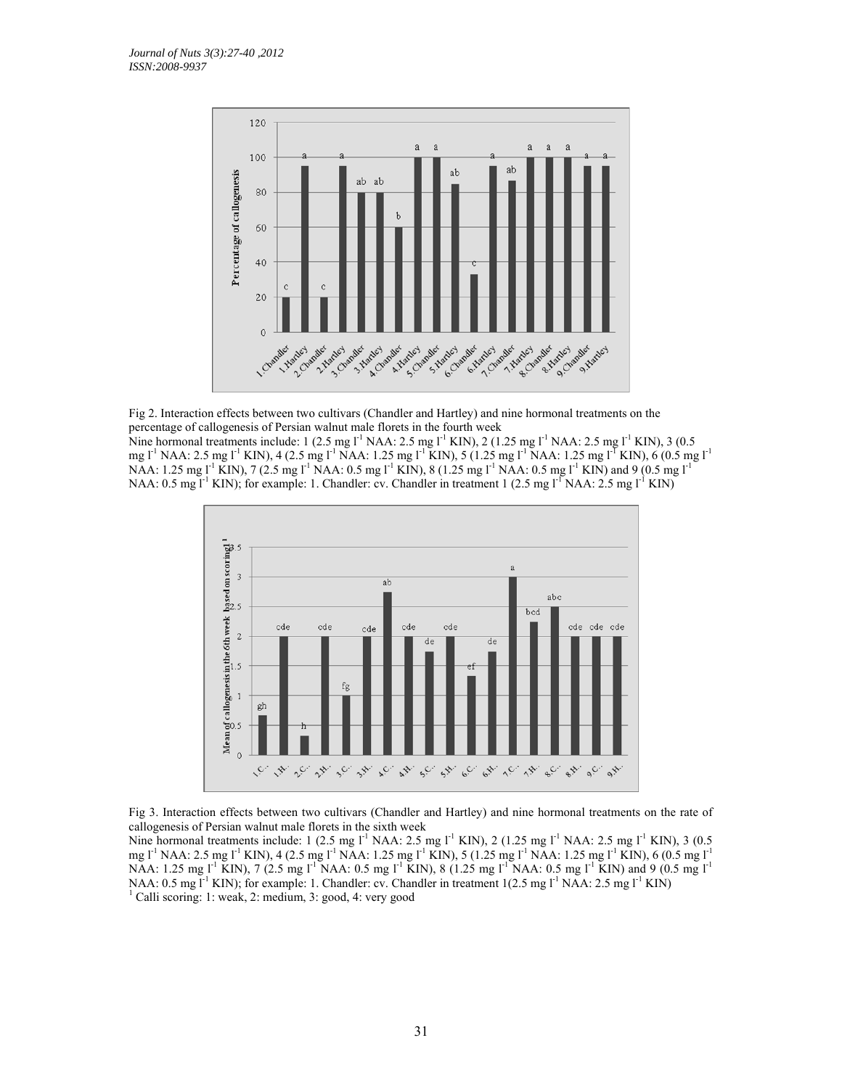

Fig 2. Interaction effects between two cultivars (Chandler and Hartley) and nine hormonal treatments on the percentage of callogenesis of Persian walnut male florets in the fourth week

Nine hormonal treatments include:  $1$  (2.5 mg l<sup>-1</sup> NAA: 2.5 mg l<sup>-1</sup> KIN), 2 (1.25 mg l<sup>-1</sup> NAA: 2.5 mg l<sup>-1</sup> KIN), 3 (0.5) mg l<sup>-1</sup> NAA: 2.5 mg l<sup>-1</sup> KIN), 4 (2.5 mg l<sup>-1</sup> NAA: 1.25 mg l<sup>-1</sup> KIN), 5 (1.25 mg l<sup>-1</sup> NAA: 1.25 mg l<sup>-1</sup> KIN), 6 (0.5 mg l<sup>-1</sup> NAA: 1.25 mg  $1^1$  KIN), 7 (2.5 mg  $1^1$  NAA: 0.5 mg  $1^1$  KIN), 8 (1.25 mg  $1^1$  NAA: 0.5 mg  $1^1$  KIN) and 9 (0.5 mg  $1^1$ NAA: 0.5 mg  $I<sup>-1</sup>$  KIN); for example: 1. Chandler: cv. Chandler in treatment 1 (2.5 mg  $I<sup>-1</sup>$  NAA: 2.5 mg  $I<sup>-1</sup>$  KIN)



Fig 3. Interaction effects between two cultivars (Chandler and Hartley) and nine hormonal treatments on the rate of callogenesis of Persian walnut male florets in the sixth week

Nine hormonal treatments include: 1 (2.5 mg  $I<sup>-1</sup>$  NAA: 2.5 mg  $I<sup>-1</sup>$  KIN), 2 (1.25 mg  $I<sup>-1</sup>$  NAA: 2.5 mg  $I<sup>-1</sup>$  KIN), 3 (0.5 mg l<sup>-1</sup> NAA: 2.5 mg l<sup>-1</sup> KIN), 4 (2.5 mg l<sup>-1</sup> NAA: 1.25 mg l<sup>-1</sup> KIN), 5 (1.25 mg l<sup>-1</sup> NAA: 1.25 mg l<sup>-1</sup> KIN), 6 (0.5 mg l<sup>-1</sup> NAA: 1.25 mg l<sup>-1</sup> KIN), 7 (2.5 mg l<sup>-1</sup> NAA: 0.5 mg l<sup>-1</sup> KIN), 8 (1.25 mg l<sup>-1</sup> NAA: 0.5 mg l<sup>-1</sup> KIN) and 9 (0.5 mg l<sup>-1</sup> NAA: 0.5 mg  $I<sup>-1</sup>$  KIN); for example: 1. Chandler: cv. Chandler in treatment 1(2.5 mg  $I<sup>-1</sup>$  NAA: 2.5 mg  $I<sup>-1</sup>$  KIN)  $<sup>1</sup>$  Calli scoring: 1: weak, 2: medium, 3: good, 4: very good</sup>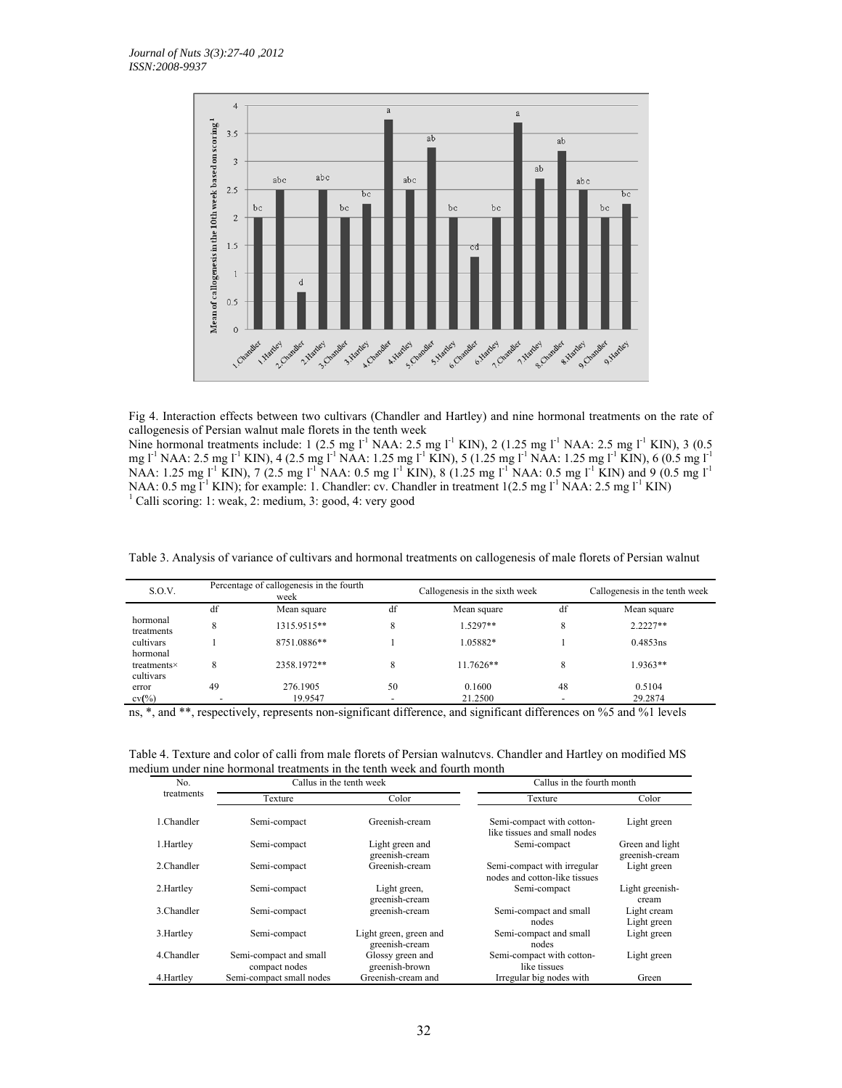

Fig 4. Interaction effects between two cultivars (Chandler and Hartley) and nine hormonal treatments on the rate of callogenesis of Persian walnut male florets in the tenth week

Nine hormonal treatments include: 1 (2.5 mg  $I^1$  NAA: 2.5 mg  $I^1$  KIN), 2 (1.25 mg  $I^1$  NAA: 2.5 mg  $I^1$  KIN), 3 (0.5 mg l<sup>-1</sup> NAA: 2.5 mg l<sup>-1</sup> KIN), 4 (2.5 mg l<sup>-1</sup> NAA: 1.25 mg l<sup>-1</sup> KIN), 5 (1.25 mg l<sup>-1</sup> NAA: 1.25 mg l<sup>-1</sup> KIN), 6 (0.5 mg l<sup>-1</sup> NAA: 1.25 mg l<sup>-1</sup> KIN), 7 (2.5 mg l<sup>-1</sup> NAA: 0.5 mg l<sup>-1</sup> KIN), 8 (1.25 mg l<sup>-1</sup> NAA: 0.5 mg l<sup>-1</sup> KIN) and 9 (0.5 mg l<sup>-1</sup> NAA:  $0.5$  mg  $I<sup>-1</sup>$  KIN); for example: 1. Chandler: cv. Chandler in treatment 1(2.5 mg  $I<sup>-1</sup>$  NAA: 2.5 mg  $I<sup>-1</sup>$  KIN)  $\frac{1}{2}$  Calli scoring: 1: weak, 2: medium, 3: good, 4: very good

| S.O.V.                   |    | Percentage of callogenesis in the fourth<br>week |         | Callogenesis in the sixth week                   |    | Callogenesis in the tenth week |
|--------------------------|----|--------------------------------------------------|---------|--------------------------------------------------|----|--------------------------------|
|                          | df | Mean square                                      | df      | Mean square                                      | df | Mean square                    |
| hormonal<br>treatments   | 8  | 1315.9515**                                      | 8       | 1.5297**                                         | 8  | $2.2227**$                     |
| cultivars<br>hormonal    |    | 8751.0886**                                      |         | 1.05882*                                         |    | 0.4853ns                       |
| treatments×<br>cultivars | 8  | 2358.1972**                                      | 8       | $11.7626**$                                      | 8  | 1.9363**                       |
| error                    | 49 | 276.1905                                         | 50      | 0.1600                                           | 48 | 0.5104                         |
| $cv(\%)$                 |    | 19.9547                                          |         | 21.2500                                          |    | 29.2874                        |
| A<br><b>1</b> de de      |    | $\cdot \sim$                                     | $-1.00$ | $\cdot \sim$<br>$\sim$<br>$\cdot$ $\cdot$ $\sim$ |    | 1.0111<br>0/7                  |

Table 3. Analysis of variance of cultivars and hormonal treatments on callogenesis of male florets of Persian walnut

ns, \*, and \*\*, respectively, represents non-significant difference, and significant differences on %5 and %1 levels

Table 4. Texture and color of calli from male florets of Persian walnutcvs. Chandler and Hartley on modified MS medium under nine hormonal treatments in the tenth week and fourth month

| No.         | Callus in the tenth week                |                                          | Callus in the fourth month                                   |                                   |
|-------------|-----------------------------------------|------------------------------------------|--------------------------------------------------------------|-----------------------------------|
| treatments  | Texture                                 | Color                                    | Texture                                                      | Color                             |
| 1. Chandler | Semi-compact                            | Greenish-cream                           | Semi-compact with cotton-<br>like tissues and small nodes    | Light green                       |
| 1.Hartley   | Semi-compact                            | Light green and<br>greenish-cream        | Semi-compact                                                 | Green and light<br>greenish-cream |
| 2 Chandler  | Semi-compact                            | Greenish-cream                           | Semi-compact with irregular<br>nodes and cotton-like tissues | Light green                       |
| 2. Hartley  | Semi-compact                            | Light green,<br>greenish-cream           | Semi-compact                                                 | Light greenish-<br>cream          |
| 3. Chandler | Semi-compact                            | greenish-cream                           | Semi-compact and small<br>nodes                              | Light cream<br>Light green        |
| 3. Hartley  | Semi-compact                            | Light green, green and<br>greenish-cream | Semi-compact and small<br>nodes                              | Light green                       |
| 4 Chandler  | Semi-compact and small<br>compact nodes | Glossy green and<br>greenish-brown       | Semi-compact with cotton-<br>like tissues                    | Light green                       |
| 4. Hartley  | Semi-compact small nodes                | Greenish-cream and                       | Irregular big nodes with                                     | Green                             |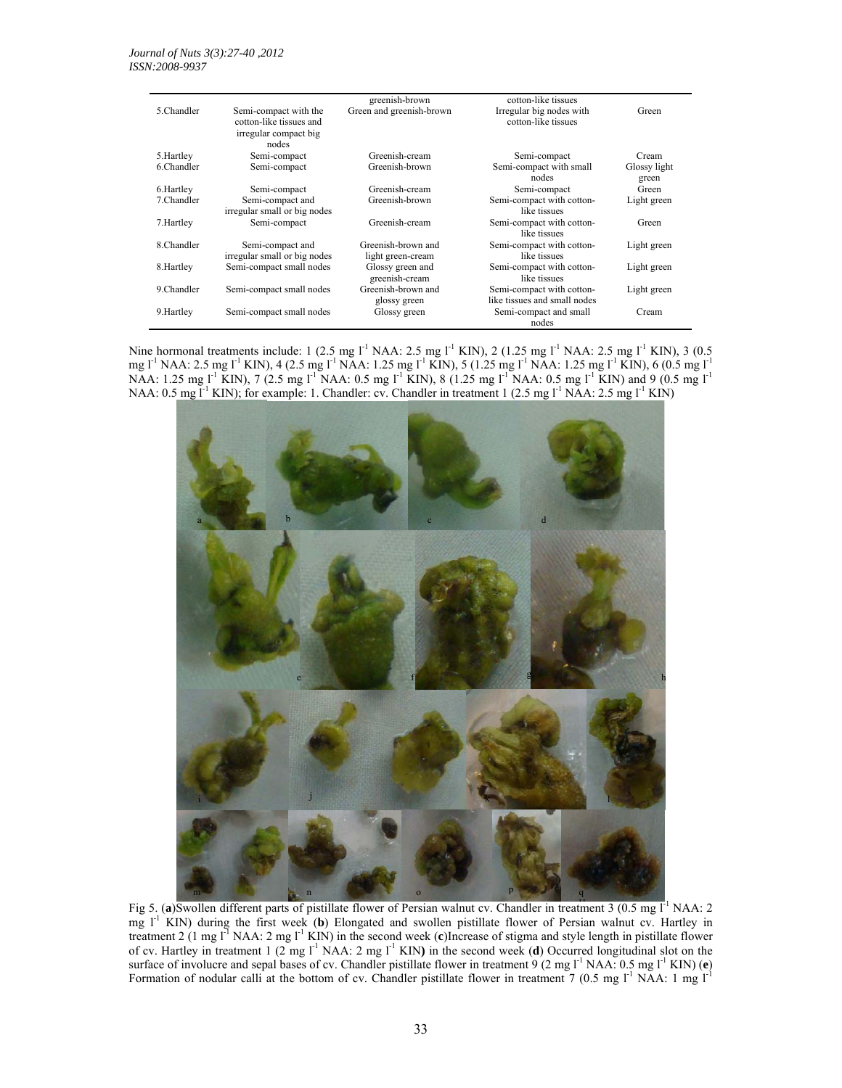|             |                                                                                    | greenish-brown                          | cotton-like tissues                                       |                       |
|-------------|------------------------------------------------------------------------------------|-----------------------------------------|-----------------------------------------------------------|-----------------------|
| 5. Chandler | Semi-compact with the<br>cotton-like tissues and<br>irregular compact big<br>nodes | Green and greenish-brown                | Irregular big nodes with<br>cotton-like tissues           | Green                 |
| 5.Hartley   | Semi-compact                                                                       | Greenish-cream                          | Semi-compact                                              | Cream                 |
| 6.Chandler  | Semi-compact                                                                       | Greenish-brown                          | Semi-compact with small<br>nodes                          | Glossy light<br>green |
| 6.Hartley   | Semi-compact                                                                       | Greenish-cream                          | Semi-compact                                              | Green                 |
| 7 Chandler  | Semi-compact and<br>irregular small or big nodes                                   | Greenish-brown                          | Semi-compact with cotton-<br>like tissues                 | Light green           |
| 7. Hartley  | Semi-compact                                                                       | Greenish-cream                          | Semi-compact with cotton-<br>like tissues                 | Green                 |
| 8. Chandler | Semi-compact and<br>irregular small or big nodes                                   | Greenish-brown and<br>light green-cream | Semi-compact with cotton-<br>like tissues                 | Light green           |
| 8. Hartley  | Semi-compact small nodes                                                           | Glossy green and<br>greenish-cream      | Semi-compact with cotton-<br>like tissues                 | Light green           |
| 9 Chandler  | Semi-compact small nodes                                                           | Greenish-brown and<br>glossy green      | Semi-compact with cotton-<br>like tissues and small nodes | Light green           |
| 9. Hartley  | Semi-compact small nodes                                                           | Glossy green                            | Semi-compact and small<br>nodes                           | Cream                 |

Nine hormonal treatments include: 1 (2.5 mg  $I<sup>-1</sup>$  NAA: 2.5 mg  $I<sup>-1</sup>$  KIN), 2 (1.25 mg  $I<sup>-1</sup>$  NAA: 2.5 mg  $I<sup>-1</sup>$  KIN), 3 (0.5 mg l<sup>-1</sup> NAA: 2.5 mg l<sup>-1</sup> KIN), 4 (2.5 mg l<sup>-1</sup> NAA: 1.25 mg l<sup>-1</sup> KIN), 5 (1.25 mg l<sup>-1</sup> NAA: 1.25 mg l<sup>-1</sup> KIN), 6 (0.5 mg l<sup>-1</sup> NAA: 1.25 mg l<sup>-1</sup> KIN), 7 (2.5 mg l<sup>-1</sup> NAA: 0.5 mg l<sup>-1</sup> KIN), 8 (1.25 mg l<sup>-1</sup> NAA: 0.5 mg l<sup>-1</sup> KIN) and 9 (0.5 mg l<sup>-1</sup> NAA: 0.5 mg  $I<sup>-1</sup>$  KIN); for example: 1. Chandler: cv. Chandler in treatment 1 (2.5 mg  $I<sup>-1</sup>$  NAA: 2.5 mg  $I<sup>-1</sup>$  KIN)



Fig 5. (a)Swollen different parts of pistillate flower of Persian walnut cv. Chandler in treatment 3 (0.5 mg I<sup>-1</sup> NAA: 2 mg l-1 KIN) during the first week (**b**) Elongated and swollen pistillate flower of Persian walnut cv. Hartley in treatment 2 (1 mg l<sup>-1</sup> NAA: 2 mg l<sup>-1</sup> KIN) in the second week (**c**)Increase of stigma and style length in pistillate flower of cv. Hartley in treatment 1 (2 mg l<sup>-1</sup> NAA: 2 mg l<sup>-1</sup> KIN) in the second week (**d**) Occurred longitudinal slot on the surface of involucre and sepal bases of cv. Chandler pistillate flower in treatment  $9(2 \text{ mg } 1^{-1} \text{ NAA}; 0.5 \text{ mg } 1^{-1} \text{ KIN})$  (**e**) Formation of nodular calli at the bottom of cv. Chandler pistillate flower in treatment 7 (0.5 mg  $I<sup>-1</sup>$  NAA: 1 mg  $I<sup>-1</sup>$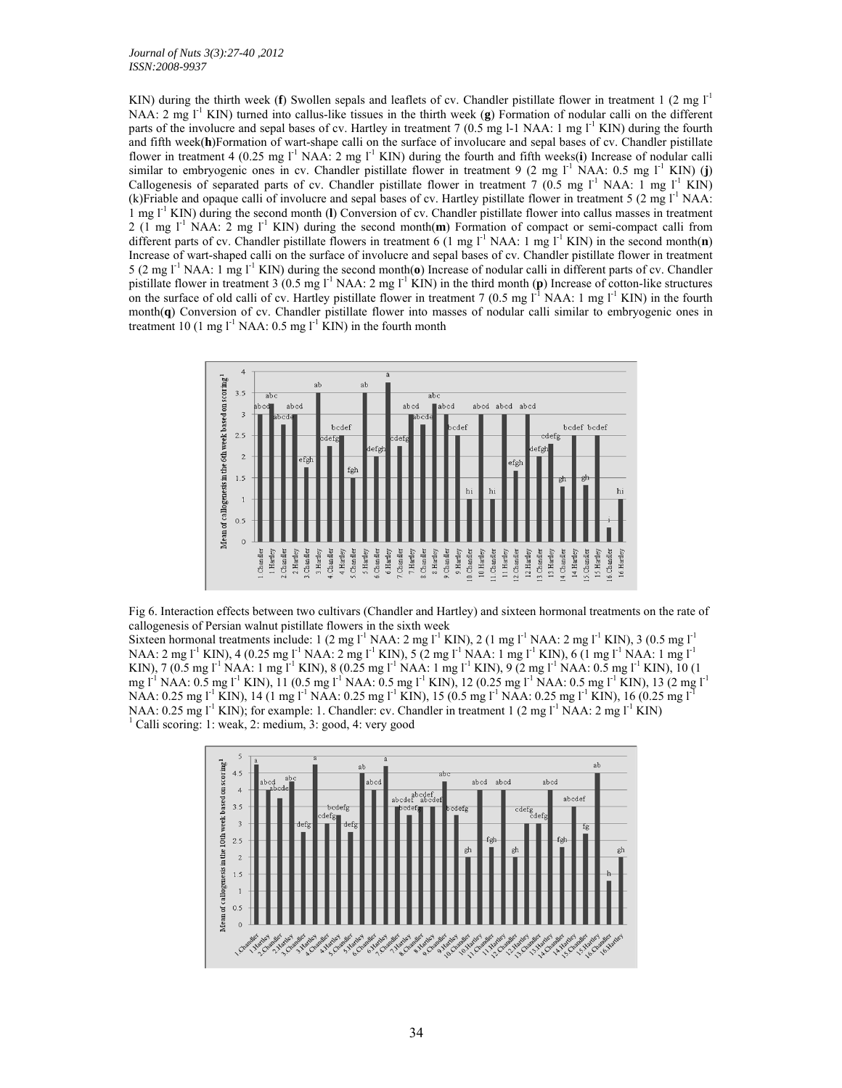KIN) during the thirth week (**f**) Swollen sepals and leaflets of cv. Chandler pistillate flower in treatment 1 (2 mg l<sup>-1</sup> NAA: 2 mg  $I<sup>-1</sup>$  KIN) turned into callus-like tissues in the thirth week (**g**) Formation of nodular calli on the different parts of the involucre and sepal bases of cv. Hartley in treatment 7 (0.5 mg l-1 NAA: 1 mg l<sup>-1</sup> KIN) during the fourth and fifth week(**h**)Formation of wart-shape calli on the surface of involucare and sepal bases of cv. Chandler pistillate flower in treatment 4 (0.25 mg  $I^1$  NAA: 2 mg  $I^1$  KIN) during the fourth and fifth weeks(**i**) Increase of nodular calli similar to embryogenic ones in cv. Chandler pistillate flower in treatment 9 (2 mg  $1^{-1}$  NAA: 0.5 mg  $1^{-1}$  KIN) (**j**) Callogenesis of separated parts of cv. Chandler pistillate flower in treatment 7 (0.5 mg  $I<sup>1</sup>$  NAA: 1 mg  $I<sup>1</sup>$  KIN) (k)Friable and opaque calli of involucre and sepal bases of cv. Hartley pistillate flower in treatment 5 (2 mg  $1^1$  NAA: 1 mg l-1 KIN) during the second month (**l**) Conversion of cv. Chandler pistillate flower into callus masses in treatment 2 (1 mg l<sup>-1</sup> NAA: 2 mg l<sup>-1</sup> KIN) during the second month(**m**) Formation of compact or semi-compact calli from different parts of cv. Chandler pistillate flowers in treatment 6 (1 mg l<sup>-1</sup> NAA: 1 mg l<sup>-1</sup> KIN) in the second month(**n**) Increase of wart-shaped calli on the surface of involucre and sepal bases of cv. Chandler pistillate flower in treatment 5 (2 mg l-1 NAA: 1 mg l-1 KIN) during the second month(**o**) Increase of nodular calli in different parts of cv. Chandler pistillate flower in treatment 3 (0.5 mg l<sup>-1</sup> NAA: 2 mg l<sup>-1</sup> KIN) in the third month (**p**) Increase of cotton-like structures on the surface of old calli of cv. Hartley pistillate flower in treatment 7 (0.5 mg  $I<sup>-1</sup> NAA$ : 1 mg  $I<sup>-1</sup> KIN$ ) in the fourth month(**q**) Conversion of cv. Chandler pistillate flower into masses of nodular calli similar to embryogenic ones in treatment 10 (1 mg  $I<sup>-1</sup> NAA$ : 0.5 mg  $I<sup>-1</sup> KIN$ ) in the fourth month



Fig 6. Interaction effects between two cultivars (Chandler and Hartley) and sixteen hormonal treatments on the rate of callogenesis of Persian walnut pistillate flowers in the sixth week

Sixteen hormonal treatments include:  $1$  (2 mg l<sup>-1</sup> NAA: 2 mg l<sup>-1</sup> KIN), 2 (1 mg l<sup>-1</sup> NAA: 2 mg l<sup>-1</sup> KIN), 3 (0.5 mg l<sup>-1</sup> NAA: 2 mg l<sup>-1</sup> KIN), 4 (0.25 mg l<sup>-1</sup> NAA: 2 mg l<sup>-1</sup> KIN), 5 (2 mg l<sup>-1</sup> NAA: 1 mg l<sup>-1</sup> KIN), 6 (1 mg l<sup>-1</sup> NAA: 1 mg l<sup>-1</sup> KIN), 7 (0.5 mg l<sup>-1</sup> NAA: 1 mg l<sup>-1</sup> KIN), 8 (0.25 mg l<sup>-1</sup> NAA: 1 mg l<sup>-1</sup> KIN), 9 (2 mg l<sup>-1</sup> NAA: 0.5 mg l<sup>-1</sup> KIN), 10 (1 mg l<sup>-1</sup> NAA: 0.5 mg l<sup>-1</sup> KIN), 11 (0.5 mg l<sup>-1</sup> NAA: 0.5 mg l<sup>-1</sup> KIN), 12 (0.25 mg l<sup>-1</sup> NAA: 0.5 mg l<sup>-1</sup> KIN), 13 (2 mg l<sup>-1</sup> NAA: 0.25 mg l<sup>-1</sup> KIN), 14 (1 mg l<sup>-1</sup> NAA: 0.25 mg l<sup>-1</sup> KIN), 15 (0.5 mg l<sup>-1</sup> NAA: 0.25 mg l<sup>-1</sup> KIN), 16 (0.25 mg l<sup>-1</sup> NAA:  $0.25$  mg  $1^1$  KIN); for example: 1. Chandler: cv. Chandler in treatment 1 (2 mg  $1^1$  NAA: 2 mg  $1^1$  KIN)  $1^1$  Celli secrips: 1: week, 2: medium, 3: seed, 4: very seed. Calli scoring: 1: weak, 2: medium, 3: good, 4: very good

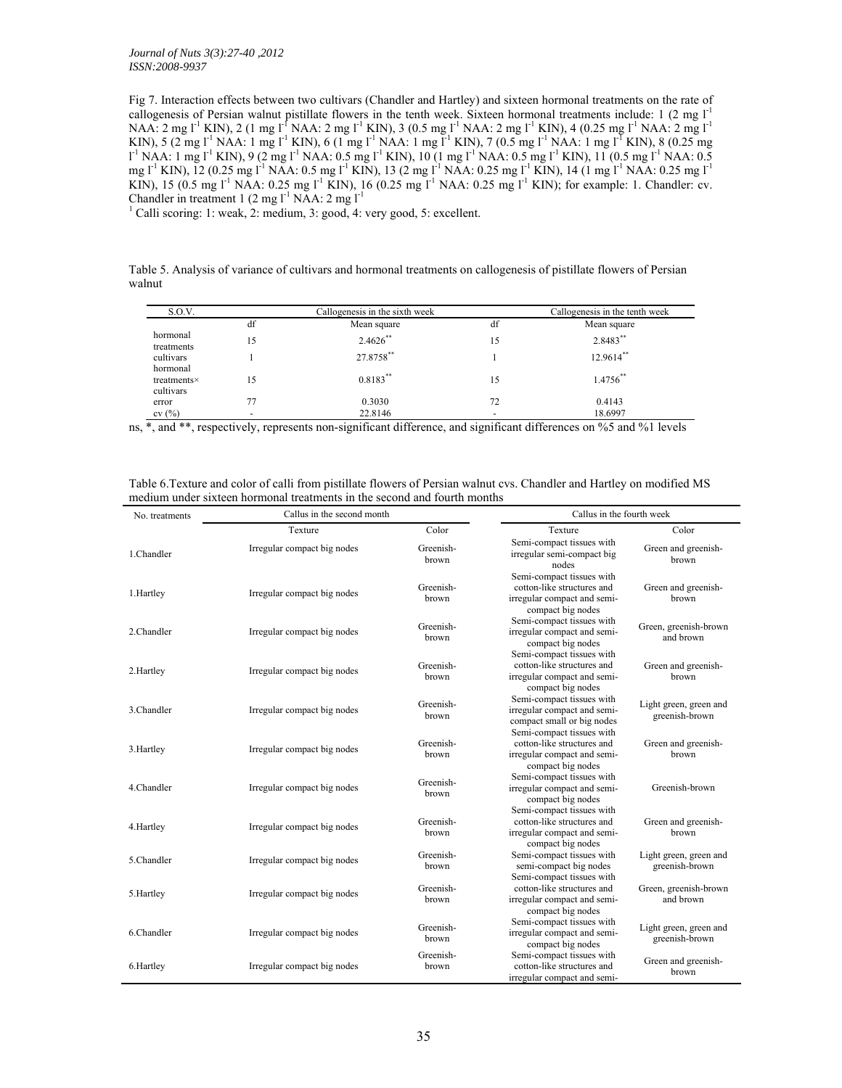Fig 7. Interaction effects between two cultivars (Chandler and Hartley) and sixteen hormonal treatments on the rate of callogenesis of Persian walnut pistillate flowers in the tenth week. Sixteen hormonal treatments include: 1 (2 mg  $I<sup>-1</sup>$ NAA: 2 mg l<sup>-1</sup> KIN), 2 (1 mg l<sup>-f</sup> NAA: 2 mg l<sup>-1</sup> KIN), 3 (0.5 mg l<sup>-1</sup> NAA: 2 mg l<sup>-1</sup> KIN), 4 (0.25 mg l<sup>-1</sup> NAA: 2 mg l<sup>-1</sup> KIN), 5 (2 mg l<sup>-1</sup> NAA: 1 mg l<sup>-1</sup> KIN), 6 (1 mg l<sup>-1</sup> NAA: 1 mg l<sup>-1</sup> KIN), 7 (0.5 mg l<sup>-1</sup> NAA: 1 mg l<sup>-T</sup> KIN), 8 (0.25 mg  $1^1$  NAA: 1 mg l<sup>-1</sup> KIN), 9 (2 mg l<sup>-1</sup> NAA: 0.5 mg l<sup>-1</sup> KIN), 10 (1 mg l<sup>-1</sup> NAA: 0.5 mg l<sup>-1</sup> KIN), 11 (0.5 mg l<sup>-1</sup> NAA: 0.5 mg l<sup>-1</sup> KIN), 12 (0.25 mg l<sup>-1</sup> NAA: 0.5 mg l<sup>-1</sup> KIN), 13 (2 mg l<sup>-1</sup> NAA: 0.25 mg l<sup>-1</sup> KIN), 14 (1 mg l<sup>-1</sup> NAA: 0.25 mg l<sup>-1</sup> KIN), 15 (0.5 mg l<sup>-1</sup> NAA: 0.25 mg l<sup>-1</sup> KIN), 16 (0.25 mg l<sup>-1</sup> NAA: 0.25 mg l<sup>-1</sup> KIN); for example: 1. Chandler: cv. Chandler in treatment 1 (2 mg l<sup>-1</sup> NAA: 2 mg l<sup>-1</sup>  $\text{Calli}$  sooring: 1; work 2; modium, 2; good 4;

 $\frac{1}{2}$  Calli scoring: 1: weak, 2: medium, 3: good, 4: very good, 5: excellent.

Table 5. Analysis of variance of cultivars and hormonal treatments on callogenesis of pistillate flowers of Persian walnut

| S.O.V.                               | Callogenesis in the sixth week |             |    | Callogenesis in the tenth week |  |
|--------------------------------------|--------------------------------|-------------|----|--------------------------------|--|
|                                      | df                             | Mean square | df | Mean square                    |  |
| hormonal<br>treatments               | 15                             | $2.4626***$ | 15 | 2.8483**                       |  |
| cultivars                            |                                | 27.8758**   |    | 12.9614**                      |  |
| hormonal<br>treatments×<br>cultivars | 15                             | $0.8183***$ | 15 | $1.4756$ **                    |  |
| error                                | 77                             | 0.3030      | 72 | 0.4143                         |  |
| cv(%)                                | $\overline{\phantom{0}}$       | 22.8146     |    | 18.6997                        |  |

ns, \*, and \*\*, respectively, represents non-significant difference, and significant differences on %5 and %1 levels

| Table 6. Texture and color of calli from pistillate flowers of Persian walnut cvs. Chandler and Hartley on modified MS |  |
|------------------------------------------------------------------------------------------------------------------------|--|
| medium under sixteen hormonal treatments in the second and fourth months                                               |  |

| No. treatments | Callus in the second month  |                    | Callus in the fourth week                                                                                   |                                          |  |
|----------------|-----------------------------|--------------------|-------------------------------------------------------------------------------------------------------------|------------------------------------------|--|
|                | Texture                     | Color              | Texture                                                                                                     | Color                                    |  |
| 1.Chandler     | Irregular compact big nodes | Greenish-<br>brown | Semi-compact tissues with<br>irregular semi-compact big<br>nodes                                            | Green and greenish-<br>brown             |  |
| 1.Hartley      | Irregular compact big nodes | Greenish-<br>brown | Semi-compact tissues with<br>cotton-like structures and<br>irregular compact and semi-<br>compact big nodes | Green and greenish-<br>brown             |  |
| 2. Chandler    | Irregular compact big nodes | Greenish-<br>brown | Semi-compact tissues with<br>irregular compact and semi-<br>compact big nodes                               | Green, greenish-brown<br>and brown       |  |
| 2.Hartley      | Irregular compact big nodes | Greenish-<br>brown | Semi-compact tissues with<br>cotton-like structures and<br>irregular compact and semi-<br>compact big nodes | Green and greenish-<br>brown             |  |
| 3. Chandler    | Irregular compact big nodes | Greenish-<br>brown | Semi-compact tissues with<br>irregular compact and semi-<br>compact small or big nodes                      | Light green, green and<br>greenish-brown |  |
| 3.Hartley      | Irregular compact big nodes | Greenish-<br>brown | Semi-compact tissues with<br>cotton-like structures and<br>irregular compact and semi-<br>compact big nodes | Green and greenish-<br>brown             |  |
| 4 Chandler     | Irregular compact big nodes | Greenish-<br>brown | Semi-compact tissues with<br>irregular compact and semi-<br>compact big nodes                               | Greenish-brown                           |  |
| 4. Hartley     | Irregular compact big nodes | Greenish-<br>brown | Semi-compact tissues with<br>cotton-like structures and<br>irregular compact and semi-<br>compact big nodes | Green and greenish-<br>brown             |  |
| 5. Chandler    | Irregular compact big nodes | Greenish-<br>brown | Semi-compact tissues with<br>semi-compact big nodes<br>Semi-compact tissues with                            | Light green, green and<br>greenish-brown |  |
| 5.Hartley      | Irregular compact big nodes | Greenish-<br>brown | cotton-like structures and<br>irregular compact and semi-<br>compact big nodes                              | Green, greenish-brown<br>and brown       |  |
| 6.Chandler     | Irregular compact big nodes | Greenish-<br>brown | Semi-compact tissues with<br>irregular compact and semi-<br>compact big nodes                               | Light green, green and<br>greenish-brown |  |
| 6.Hartley      | Irregular compact big nodes | Greenish-<br>brown | Semi-compact tissues with<br>cotton-like structures and<br>irregular compact and semi-                      | Green and greenish-<br>brown             |  |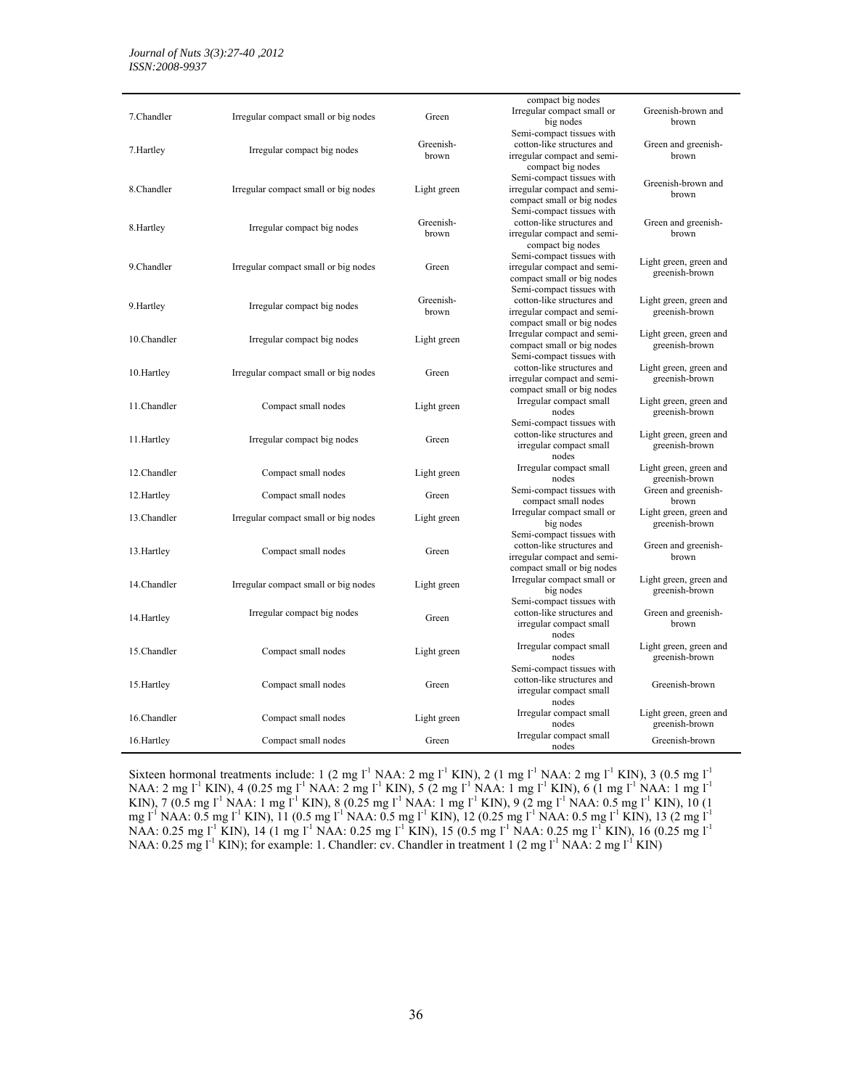*Journal of Nuts 3(3):27-40 ,2012 ISSN:2008-9937*

Î.

|              |                                      |             | compact big nodes                                         |                                          |
|--------------|--------------------------------------|-------------|-----------------------------------------------------------|------------------------------------------|
| 7. Chandler  |                                      |             | Irregular compact small or                                | Greenish-brown and                       |
|              | Irregular compact small or big nodes | Green       | big nodes                                                 | brown                                    |
|              |                                      |             | Semi-compact tissues with                                 |                                          |
|              |                                      | Greenish-   | cotton-like structures and                                | Green and greenish-                      |
| 7. Hartley   | Irregular compact big nodes          | brown       | irregular compact and semi-                               | brown                                    |
|              |                                      |             | compact big nodes                                         |                                          |
|              |                                      |             | Semi-compact tissues with                                 | Greenish-brown and                       |
| 8. Chandler  | Irregular compact small or big nodes | Light green | irregular compact and semi-                               | brown                                    |
|              |                                      |             | compact small or big nodes                                |                                          |
|              |                                      |             | Semi-compact tissues with                                 |                                          |
| 8.Hartley    | Irregular compact big nodes          | Greenish-   | cotton-like structures and                                | Green and greenish-                      |
|              |                                      | brown       | irregular compact and semi-                               | brown                                    |
|              |                                      |             | compact big nodes                                         |                                          |
|              |                                      |             | Semi-compact tissues with                                 | Light green, green and                   |
| 9. Chandler  | Irregular compact small or big nodes | Green       | irregular compact and semi-                               | greenish-brown                           |
|              |                                      |             | compact small or big nodes                                |                                          |
|              |                                      | Greenish-   | Semi-compact tissues with                                 |                                          |
| 9.Hartley    | Irregular compact big nodes          | brown       | cotton-like structures and<br>irregular compact and semi- | Light green, green and<br>greenish-brown |
|              |                                      |             | compact small or big nodes                                |                                          |
|              |                                      |             | Irregular compact and semi-                               | Light green, green and                   |
| 10.Chandler  | Irregular compact big nodes          | Light green | compact small or big nodes                                | greenish-brown                           |
|              |                                      |             | Semi-compact tissues with                                 |                                          |
|              |                                      |             | cotton-like structures and                                | Light green, green and                   |
| 10.Hartley   | Irregular compact small or big nodes | Green       | irregular compact and semi-                               | greenish-brown                           |
|              |                                      |             | compact small or big nodes                                |                                          |
| 11. Chandler | Compact small nodes                  | Light green | Irregular compact small                                   | Light green, green and                   |
|              |                                      |             | nodes                                                     | greenish-brown                           |
|              |                                      |             | Semi-compact tissues with                                 |                                          |
| 11.Hartley   | Irregular compact big nodes          | Green       | cotton-like structures and                                | Light green, green and                   |
|              |                                      |             | irregular compact small                                   | greenish-brown                           |
|              |                                      |             | nodes                                                     |                                          |
| 12. Chandler | Compact small nodes                  | Light green | Irregular compact small<br>nodes                          | Light green, green and                   |
|              |                                      |             | Semi-compact tissues with                                 | greenish-brown<br>Green and greenish-    |
| 12. Hartley  | Compact small nodes                  | Green       | compact small nodes                                       | brown                                    |
|              |                                      |             | Irregular compact small or                                | Light green, green and                   |
| 13. Chandler | Irregular compact small or big nodes | Light green | big nodes                                                 | greenish-brown                           |
|              |                                      |             | Semi-compact tissues with                                 |                                          |
|              |                                      |             | cotton-like structures and                                | Green and greenish-                      |
| 13. Hartley  | Compact small nodes                  | Green       | irregular compact and semi-                               | brown                                    |
|              |                                      |             | compact small or big nodes                                |                                          |
| 14. Chandler | Irregular compact small or big nodes | Light green | Irregular compact small or                                | Light green, green and                   |
|              |                                      |             | big nodes                                                 | greenish-brown                           |
|              |                                      |             | Semi-compact tissues with                                 |                                          |
| 14. Hartley  | Irregular compact big nodes          | Green       | cotton-like structures and                                | Green and greenish-                      |
|              |                                      |             | irregular compact small                                   | brown                                    |
|              |                                      |             | nodes                                                     |                                          |
| 15. Chandler | Compact small nodes                  | Light green | Irregular compact small<br>nodes                          | Light green, green and                   |
|              |                                      |             | Semi-compact tissues with                                 | greenish-brown                           |
|              |                                      |             | cotton-like structures and                                |                                          |
| 15. Hartley  | Compact small nodes                  | Green       | irregular compact small                                   | Greenish-brown                           |
|              |                                      |             | nodes                                                     |                                          |
|              |                                      |             | Irregular compact small                                   | Light green, green and                   |
| 16.Chandler  | Compact small nodes                  | Light green | nodes                                                     | greenish-brown                           |
| 16. Hartley  | Compact small nodes                  | Green       | Irregular compact small                                   | Greenish-brown                           |
|              |                                      |             | nodes                                                     |                                          |

Sixteen hormonal treatments include:  $1$  (2 mg l<sup>-1</sup> NAA: 2 mg l<sup>-1</sup> KIN), 2 (1 mg l<sup>-1</sup> NAA: 2 mg l<sup>-1</sup> KIN), 3 (0.5 mg l<sup>-1</sup> NAA: 2 mg l<sup>-1</sup> KIN), 4 (0.25 mg l<sup>-1</sup> NAA: 2 mg l<sup>-1</sup> KIN), 5 (2 mg l<sup>-1</sup> NAA: 1 mg l<sup>-1</sup> KIN), 6 (1 mg l<sup>-1</sup> NAA: 1 mg l<sup>-1</sup> KIN), 7 (0.5 mg l<sup>-1</sup> NAA: 1 mg l<sup>-1</sup> KIN), 8 (0.25 mg l<sup>-1</sup> NAA: 1 mg l<sup>-1</sup> KIN), 9 (2 mg l<sup>-1</sup> NAA: 0.5 mg l<sup>-1</sup> KIN), 10 (1 mg l<sup>-1</sup> NAA: 0.5 mg l<sup>-1</sup> KIN), 11 (0.5 mg l<sup>-1</sup> NAA: 0.5 mg l<sup>-1</sup> KIN), 12 (0.25 mg l<sup>-1</sup> NAA: 0.5 mg l<sup>-1</sup> KIN), 13 (2 mg l<sup>-1</sup> NAA: 0.25 mg l<sup>-1</sup> KIN), 14 (1 mg l<sup>-1</sup> NAA: 0.25 mg l<sup>-1</sup> KIN), 15 (0.5 mg l<sup>-1</sup> NAA: 0.25 mg l<sup>-1</sup> KIN), 16 (0.25 mg l<sup>-1</sup> NAA:  $0.25$  mg l<sup>-1</sup> KIN); for example: 1. Chandler: cv. Chandler in treatment 1 (2 mg l<sup>-1</sup> NAA: 2 mg l<sup>-1</sup> KIN)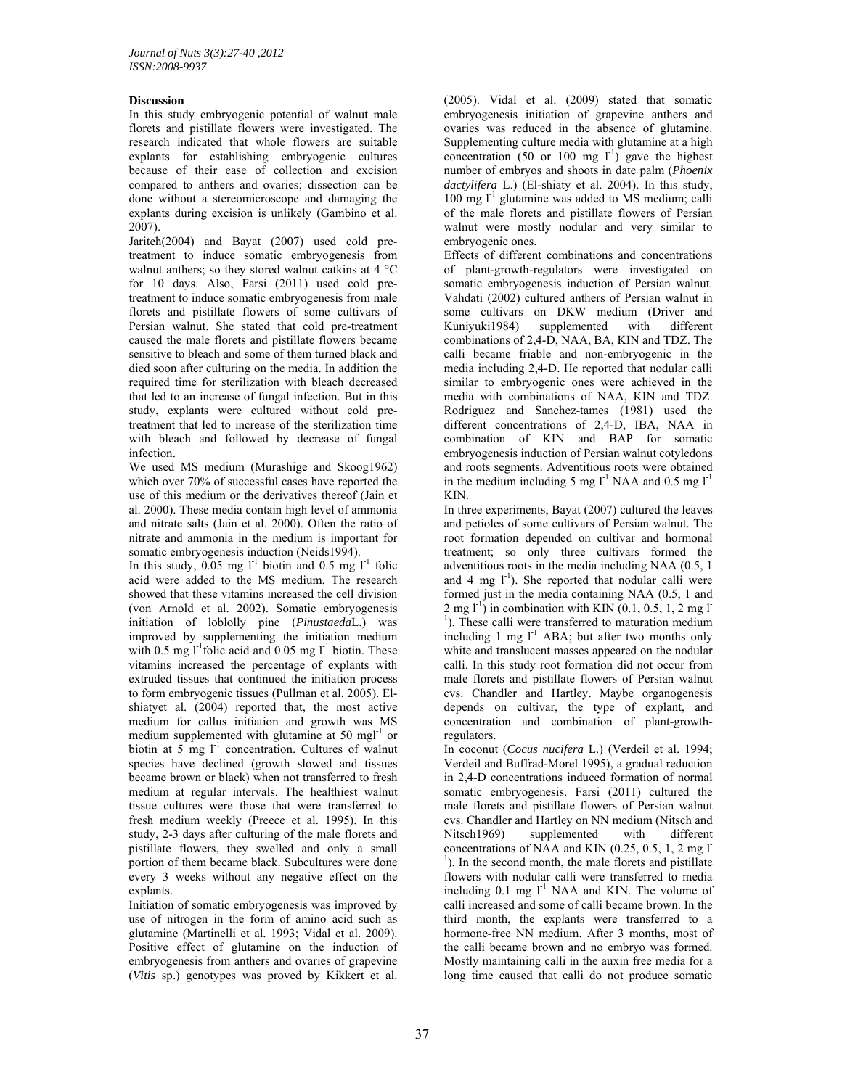# **Discussion**

In this study embryogenic potential of walnut male florets and pistillate flowers were investigated. The research indicated that whole flowers are suitable explants for establishing embryogenic cultures because of their ease of collection and excision compared to anthers and ovaries; dissection can be done without a stereomicroscope and damaging the explants during excision is unlikely (Gambino et al. 2007).

Jariteh(2004) and Bayat (2007) used cold pretreatment to induce somatic embryogenesis from walnut anthers; so they stored walnut catkins at 4 °C for 10 days. Also, Farsi (2011) used cold pretreatment to induce somatic embryogenesis from male florets and pistillate flowers of some cultivars of Persian walnut. She stated that cold pre-treatment caused the male florets and pistillate flowers became sensitive to bleach and some of them turned black and died soon after culturing on the media. In addition the required time for sterilization with bleach decreased that led to an increase of fungal infection. But in this study, explants were cultured without cold pretreatment that led to increase of the sterilization time with bleach and followed by decrease of fungal infection.

We used MS medium (Murashige and Skoog1962) which over 70% of successful cases have reported the use of this medium or the derivatives thereof (Jain et al. 2000). These media contain high level of ammonia and nitrate salts (Jain et al. 2000). Often the ratio of nitrate and ammonia in the medium is important for somatic embryogenesis induction (Neids1994).

In this study, 0.05 mg  $l^{-1}$  biotin and 0.5 mg  $l^{-1}$  folic acid were added to the MS medium. The research showed that these vitamins increased the cell division (von Arnold et al. 2002). Somatic embryogenesis initiation of loblolly pine (*Pinustaeda*L.) was improved by supplementing the initiation medium with 0.5 mg  $1^{-1}$ folic acid and 0.05 mg  $1^{-1}$  biotin. These vitamins increased the percentage of explants with extruded tissues that continued the initiation process to form embryogenic tissues (Pullman et al. 2005). Elshiatyet al. (2004) reported that, the most active medium for callus initiation and growth was MS medium supplemented with glutamine at 50 mgl<sup>-1</sup> or biotin at  $5 \text{ mg } l^1$  concentration. Cultures of walnut species have declined (growth slowed and tissues became brown or black) when not transferred to fresh medium at regular intervals. The healthiest walnut tissue cultures were those that were transferred to fresh medium weekly (Preece et al. 1995). In this study, 2-3 days after culturing of the male florets and pistillate flowers, they swelled and only a small portion of them became black. Subcultures were done every 3 weeks without any negative effect on the explants.

Initiation of somatic embryogenesis was improved by use of nitrogen in the form of amino acid such as glutamine (Martinelli et al. 1993; Vidal et al. 2009). Positive effect of glutamine on the induction of embryogenesis from anthers and ovaries of grapevine (*Vitis* sp.) genotypes was proved by Kikkert et al.

(2005). Vidal et al. (2009) stated that somatic embryogenesis initiation of grapevine anthers and ovaries was reduced in the absence of glutamine. Supplementing culture media with glutamine at a high concentration (50 or 100 mg  $1^{-1}$ ) gave the highest number of embryos and shoots in date palm (*Phoenix dactylifera* L.) (El-shiaty et al. 2004). In this study,  $100 \text{ mg } l^{-1}$  glutamine was added to MS medium; calli of the male florets and pistillate flowers of Persian walnut were mostly nodular and very similar to embryogenic ones.

Effects of different combinations and concentrations of plant-growth-regulators were investigated on somatic embryogenesis induction of Persian walnut. Vahdati (2002) cultured anthers of Persian walnut in some cultivars on DKW medium (Driver and Kuniyuki1984) supplemented with different combinations of 2,4-D, NAA, BA, KIN and TDZ. The calli became friable and non-embryogenic in the media including 2,4-D. He reported that nodular calli similar to embryogenic ones were achieved in the media with combinations of NAA, KIN and TDZ. Rodriguez and Sanchez-tames (1981) used the different concentrations of 2,4-D, IBA, NAA in combination of KIN and BAP for somatic embryogenesis induction of Persian walnut cotyledons and roots segments. Adventitious roots were obtained in the medium including 5 mg  $l^{-1}$  NAA and 0.5 mg  $l^{-1}$ KIN.

In three experiments, Bayat (2007) cultured the leaves and petioles of some cultivars of Persian walnut. The root formation depended on cultivar and hormonal treatment; so only three cultivars formed the adventitious roots in the media including NAA (0.5, 1 and 4 mg  $1^{-1}$ ). She reported that nodular calli were formed just in the media containing NAA (0.5, 1 and 2 mg  $l^{-1}$ ) in combination with KIN (0.1, 0.5, 1, 2 mg l<sup>-</sup> <sup>1</sup>). These calli were transferred to maturation medium including 1 mg  $l^{-1}$  ABA; but after two months only white and translucent masses appeared on the nodular calli. In this study root formation did not occur from male florets and pistillate flowers of Persian walnut cvs. Chandler and Hartley. Maybe organogenesis depends on cultivar, the type of explant, and concentration and combination of plant-growthregulators.

In coconut (*Cocus nucifera* L.) (Verdeil et al. 1994; Verdeil and Buffrad-Morel 1995), a gradual reduction in 2,4-D concentrations induced formation of normal somatic embryogenesis. Farsi (2011) cultured the male florets and pistillate flowers of Persian walnut cvs. Chandler and Hartley on NN medium (Nitsch and Nitsch1969) supplemented with different concentrations of NAA and KIN  $(0.25, 0.5, 1, 2 \text{ mg } 1)$ <sup>1</sup>). In the second month, the male florets and pistillate flowers with nodular calli were transferred to media including  $0.1 \text{ mg } l^{\text{-}1}$  NAA and KIN. The volume of calli increased and some of calli became brown. In the third month, the explants were transferred to a hormone-free NN medium. After 3 months, most of the calli became brown and no embryo was formed. Mostly maintaining calli in the auxin free media for a long time caused that calli do not produce somatic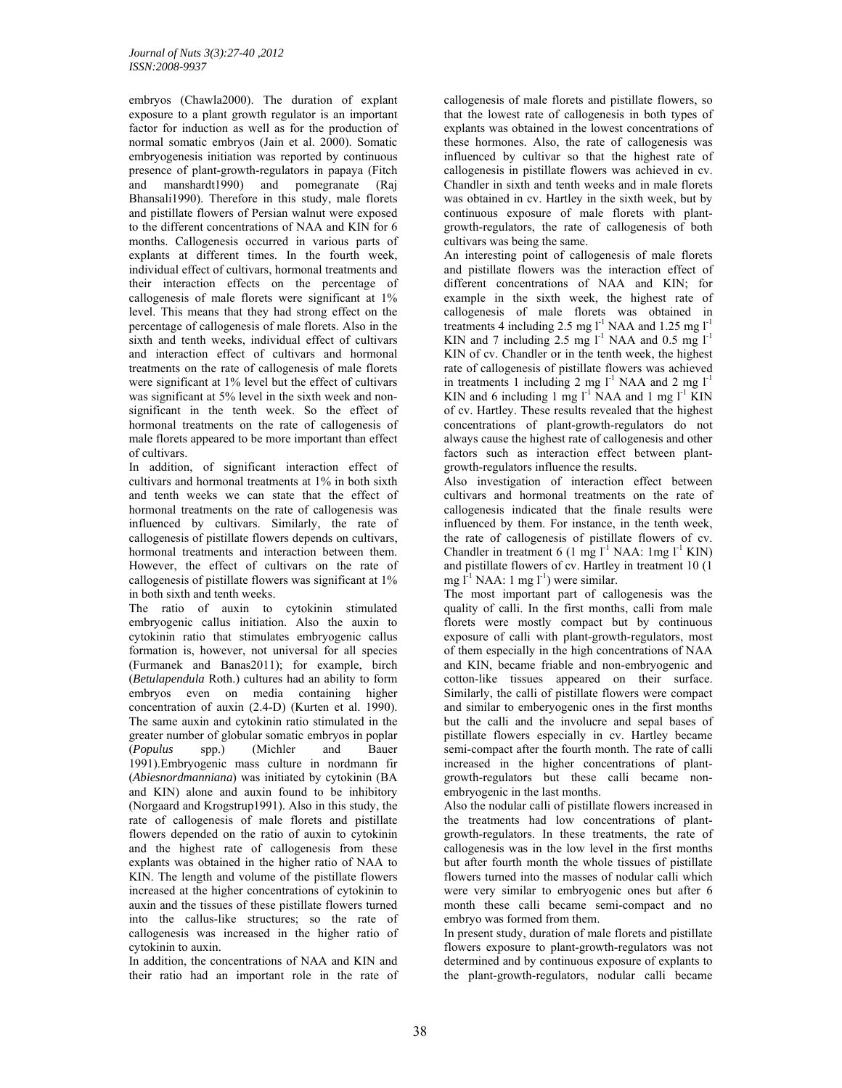embryos (Chawla2000). The duration of explant exposure to a plant growth regulator is an important factor for induction as well as for the production of normal somatic embryos (Jain et al. 2000). Somatic embryogenesis initiation was reported by continuous presence of plant-growth-regulators in papaya (Fitch and manshardt1990) and pomegranate (Raj Bhansali1990). Therefore in this study, male florets and pistillate flowers of Persian walnut were exposed to the different concentrations of NAA and KIN for 6 months. Callogenesis occurred in various parts of explants at different times. In the fourth week, individual effect of cultivars, hormonal treatments and their interaction effects on the percentage of callogenesis of male florets were significant at 1% level. This means that they had strong effect on the percentage of callogenesis of male florets. Also in the sixth and tenth weeks, individual effect of cultivars and interaction effect of cultivars and hormonal treatments on the rate of callogenesis of male florets were significant at 1% level but the effect of cultivars was significant at 5% level in the sixth week and nonsignificant in the tenth week. So the effect of hormonal treatments on the rate of callogenesis of male florets appeared to be more important than effect of cultivars.

In addition, of significant interaction effect of cultivars and hormonal treatments at 1% in both sixth and tenth weeks we can state that the effect of hormonal treatments on the rate of callogenesis was influenced by cultivars. Similarly, the rate of callogenesis of pistillate flowers depends on cultivars, hormonal treatments and interaction between them. However, the effect of cultivars on the rate of callogenesis of pistillate flowers was significant at 1% in both sixth and tenth weeks.

The ratio of auxin to cytokinin stimulated embryogenic callus initiation. Also the auxin to cytokinin ratio that stimulates embryogenic callus formation is, however, not universal for all species (Furmanek and Banas2011); for example, birch (*Betulapendula* Roth.) cultures had an ability to form embryos even on media containing higher concentration of auxin (2.4-D) (Kurten et al. 1990). The same auxin and cytokinin ratio stimulated in the greater number of globular somatic embryos in poplar<br>(*Populus* spp.) (Michler and Bauer spp.) (Michler and Bauer 1991).Embryogenic mass culture in nordmann fir (*Abiesnordmanniana*) was initiated by cytokinin (BA and KIN) alone and auxin found to be inhibitory (Norgaard and Krogstrup1991). Also in this study, the rate of callogenesis of male florets and pistillate flowers depended on the ratio of auxin to cytokinin and the highest rate of callogenesis from these explants was obtained in the higher ratio of NAA to KIN. The length and volume of the pistillate flowers increased at the higher concentrations of cytokinin to auxin and the tissues of these pistillate flowers turned into the callus-like structures; so the rate of callogenesis was increased in the higher ratio of cytokinin to auxin.

In addition, the concentrations of NAA and KIN and their ratio had an important role in the rate of callogenesis of male florets and pistillate flowers, so that the lowest rate of callogenesis in both types of explants was obtained in the lowest concentrations of these hormones. Also, the rate of callogenesis was influenced by cultivar so that the highest rate of callogenesis in pistillate flowers was achieved in cv. Chandler in sixth and tenth weeks and in male florets was obtained in cv. Hartley in the sixth week, but by continuous exposure of male florets with plantgrowth-regulators, the rate of callogenesis of both cultivars was being the same.

An interesting point of callogenesis of male florets and pistillate flowers was the interaction effect of different concentrations of NAA and KIN; for example in the sixth week, the highest rate of callogenesis of male florets was obtained in treatments 4 including 2.5 mg  $l^{-1}$  NAA and 1.25 mg  $l^{-1}$ KIN and 7 including 2.5 mg  $l^{-1}$  NAA and 0.5 mg  $l^{-1}$ KIN of cv. Chandler or in the tenth week, the highest rate of callogenesis of pistillate flowers was achieved in treatments 1 including 2 mg  $l^{-1}$  NAA and 2 mg  $l^{-1}$ KIN and 6 including 1 mg  $l^{-1}$  NAA and 1 mg  $l^{-1}$  KIN of cv. Hartley. These results revealed that the highest concentrations of plant-growth-regulators do not always cause the highest rate of callogenesis and other factors such as interaction effect between plantgrowth-regulators influence the results.

Also investigation of interaction effect between cultivars and hormonal treatments on the rate of callogenesis indicated that the finale results were influenced by them. For instance, in the tenth week, the rate of callogenesis of pistillate flowers of cv. Chandler in treatment 6 (1 mg  $1^{-1}$  NAA: 1mg  $1^{-1}$  KIN) and pistillate flowers of cv. Hartley in treatment 10 (1 mg  $I^{-1}$  NAA: 1 mg  $I^{-1}$ ) were similar.

The most important part of callogenesis was the quality of calli. In the first months, calli from male florets were mostly compact but by continuous exposure of calli with plant-growth-regulators, most of them especially in the high concentrations of NAA and KIN, became friable and non-embryogenic and cotton-like tissues appeared on their surface. Similarly, the calli of pistillate flowers were compact and similar to emberyogenic ones in the first months but the calli and the involucre and sepal bases of pistillate flowers especially in cv. Hartley became semi-compact after the fourth month. The rate of calli increased in the higher concentrations of plantgrowth-regulators but these calli became nonembryogenic in the last months.

Also the nodular calli of pistillate flowers increased in the treatments had low concentrations of plantgrowth-regulators. In these treatments, the rate of callogenesis was in the low level in the first months but after fourth month the whole tissues of pistillate flowers turned into the masses of nodular calli which were very similar to embryogenic ones but after 6 month these calli became semi-compact and no embryo was formed from them.

In present study, duration of male florets and pistillate flowers exposure to plant-growth-regulators was not determined and by continuous exposure of explants to the plant-growth-regulators, nodular calli became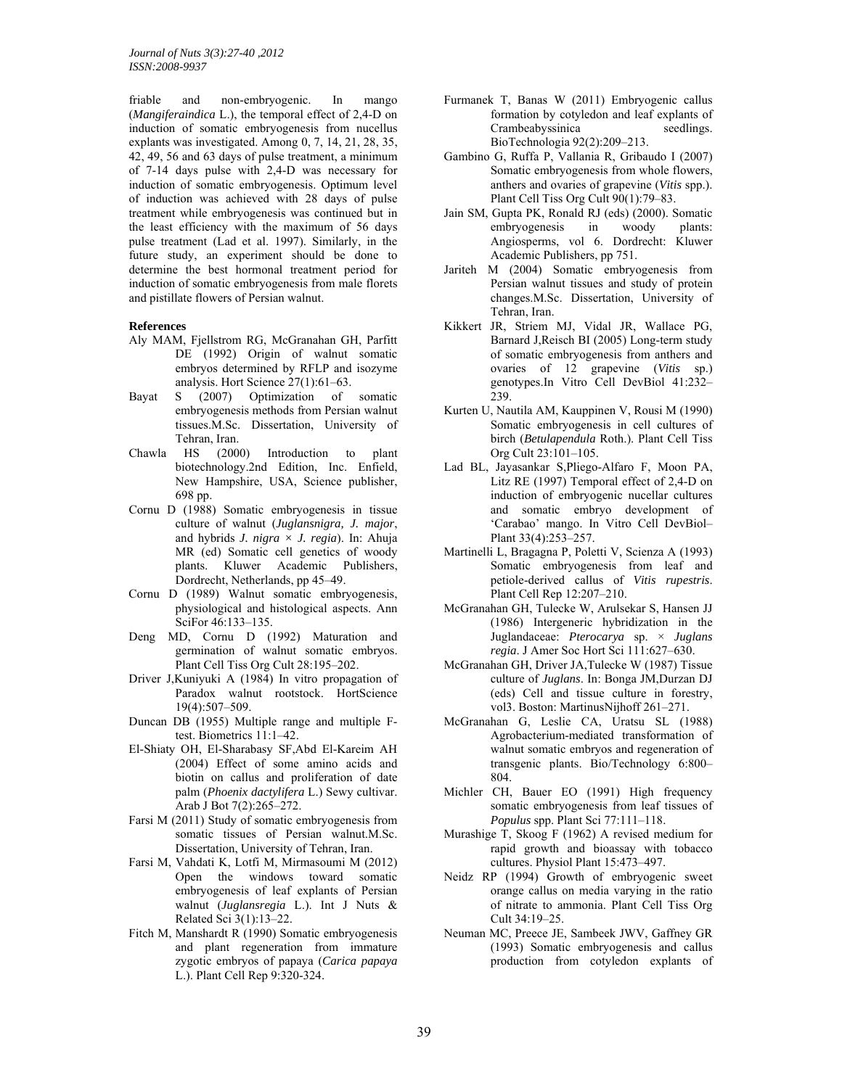*Journal of Nuts 3(3):27-40 ,2012 ISSN:2008-9937*

friable and non-embryogenic. In mango (*Mangiferaindica* L.), the temporal effect of 2,4-D on induction of somatic embryogenesis from nucellus explants was investigated. Among 0, 7, 14, 21, 28, 35, 42, 49, 56 and 63 days of pulse treatment, a minimum of 7-14 days pulse with 2,4-D was necessary for induction of somatic embryogenesis. Optimum level of induction was achieved with 28 days of pulse treatment while embryogenesis was continued but in the least efficiency with the maximum of 56 days pulse treatment (Lad et al. 1997). Similarly, in the future study, an experiment should be done to determine the best hormonal treatment period for induction of somatic embryogenesis from male florets and pistillate flowers of Persian walnut.

### **References**

- Aly MAM, Fjellstrom RG, McGranahan GH, Parfitt DE (1992) Origin of walnut somatic embryos determined by RFLP and isozyme analysis. Hort Science 27(1):61–63.
- Bayat S (2007) Optimization of somatic embryogenesis methods from Persian walnut tissues.M.Sc. Dissertation, University of Tehran, Iran.
- Chawla HS (2000) Introduction to plant biotechnology.2nd Edition, Inc. Enfield, New Hampshire, USA, Science publisher, 698 pp.
- Cornu D (1988) Somatic embryogenesis in tissue culture of walnut (*Juglansnigra, J. major*, and hybrids *J. nigra × J. regia*). In: Ahuja MR (ed) Somatic cell genetics of woody plants. Kluwer Academic Publishers, Dordrecht, Netherlands, pp 45–49.
- Cornu D (1989) Walnut somatic embryogenesis, physiological and histological aspects. Ann SciFor 46:133–135.
- Deng MD, Cornu D (1992) Maturation and germination of walnut somatic embryos. Plant Cell Tiss Org Cult 28:195–202.
- Driver J,Kuniyuki A (1984) In vitro propagation of Paradox walnut rootstock. HortScience 19(4):507–509.
- Duncan DB (1955) Multiple range and multiple Ftest. Biometrics 11:1–42.
- El-Shiaty OH, El-Sharabasy SF,Abd El-Kareim AH (2004) Effect of some amino acids and biotin on callus and proliferation of date palm (*Phoenix dactylifera* L.) Sewy cultivar. Arab J Bot 7(2):265–272.
- Farsi M (2011) Study of somatic embryogenesis from somatic tissues of Persian walnut.M.Sc. Dissertation, University of Tehran, Iran.
- Farsi M, Vahdati K, Lotfi M, Mirmasoumi M (2012) Open the windows toward somatic embryogenesis of leaf explants of Persian walnut (*Juglansregia* L.). Int J Nuts & Related Sci 3(1):13–22.
- Fitch M, Manshardt R (1990) Somatic embryogenesis and plant regeneration from immature zygotic embryos of papaya (*Carica papaya* L.). Plant Cell Rep 9:320-324.
- Furmanek T, Banas W (2011) Embryogenic callus formation by cotyledon and leaf explants of<br>Crambeabyssinica seedlings. Crambeabyssinica BioTechnologia 92(2):209–213.
- Gambino G, Ruffa P, Vallania R, Gribaudo I (2007) Somatic embryogenesis from whole flowers, anthers and ovaries of grapevine (*Vitis* spp.). Plant Cell Tiss Org Cult 90(1):79–83.
- Jain SM, Gupta PK, Ronald RJ (eds) (2000). Somatic embryogenesis in woody Angiosperms, vol 6. Dordrecht: Kluwer Academic Publishers, pp 751.
- Jariteh M (2004) Somatic embryogenesis from Persian walnut tissues and study of protein changes.M.Sc. Dissertation, University of Tehran, Iran.
- Kikkert JR, Striem MJ, Vidal JR, Wallace PG, Barnard J,Reisch BI (2005) Long-term study of somatic embryogenesis from anthers and ovaries of 12 grapevine (*Vitis* sp.) genotypes.In Vitro Cell DevBiol 41:232– 239.
- Kurten U, Nautila AM, Kauppinen V, Rousi M (1990) Somatic embryogenesis in cell cultures of birch (*Betulapendula* Roth.). Plant Cell Tiss Org Cult 23:101–105.
- Lad BL, Jayasankar S,Pliego-Alfaro F, Moon PA, Litz RE (1997) Temporal effect of 2,4-D on induction of embryogenic nucellar cultures and somatic embryo development of 'Carabao' mango. In Vitro Cell DevBiol– Plant 33(4):253–257.
- Martinelli L, Bragagna P, Poletti V, Scienza A (1993) Somatic embryogenesis from leaf and petiole-derived callus of *Vitis rupestris*. Plant Cell Rep 12:207–210.
- McGranahan GH, Tulecke W, Arulsekar S, Hansen JJ (1986) Intergeneric hybridization in the Juglandaceae: *Pterocarya* sp. × *Juglans regia*. J Amer Soc Hort Sci 111:627–630.
- McGranahan GH, Driver JA,Tulecke W (1987) Tissue culture of *Juglans*. In: Bonga JM,Durzan DJ (eds) Cell and tissue culture in forestry, vol3. Boston: MartinusNijhoff 261–271.
- McGranahan G, Leslie CA, Uratsu SL (1988) Agrobacterium-mediated transformation of walnut somatic embryos and regeneration of transgenic plants. Bio/Technology 6:800– 804.
- Michler CH, Bauer EO (1991) High frequency somatic embryogenesis from leaf tissues of *Populus* spp. Plant Sci 77:111–118.
- Murashige T, Skoog F (1962) A revised medium for rapid growth and bioassay with tobacco cultures. Physiol Plant 15:473–497.
- Neidz RP (1994) Growth of embryogenic sweet orange callus on media varying in the ratio of nitrate to ammonia. Plant Cell Tiss Org Cult 34:19–25.
- Neuman MC, Preece JE, Sambeek JWV, Gaffney GR (1993) Somatic embryogenesis and callus production from cotyledon explants of